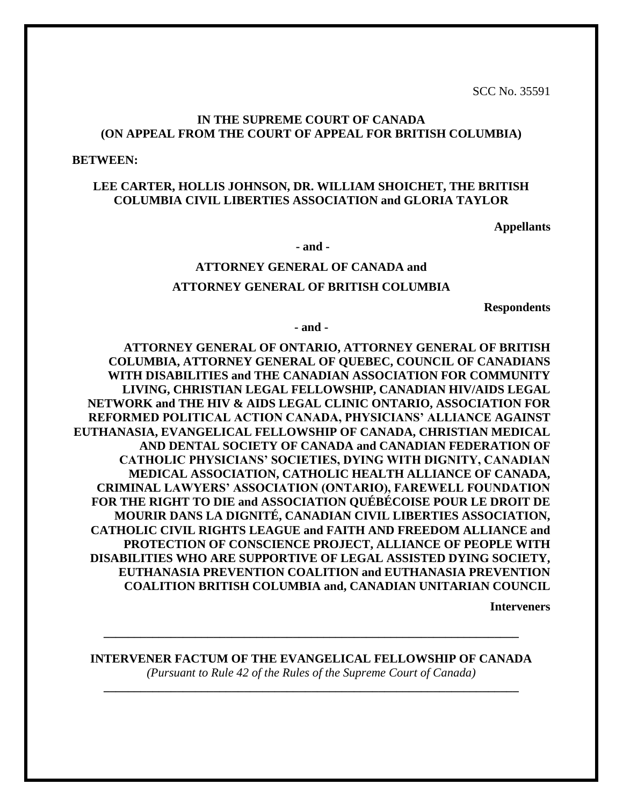SCC No. 35591

## **IN THE SUPREME COURT OF CANADA (ON APPEAL FROM THE COURT OF APPEAL FOR BRITISH COLUMBIA)**

**BETWEEN:**

## **LEE CARTER, HOLLIS JOHNSON, DR. WILLIAM SHOICHET, THE BRITISH COLUMBIA CIVIL LIBERTIES ASSOCIATION and GLORIA TAYLOR**

**Appellants**

**- and -**

# **ATTORNEY GENERAL OF CANADA and ATTORNEY GENERAL OF BRITISH COLUMBIA**

**Respondents**

**- and -**

**ATTORNEY GENERAL OF ONTARIO, ATTORNEY GENERAL OF BRITISH COLUMBIA, ATTORNEY GENERAL OF QUEBEC, COUNCIL OF CANADIANS WITH DISABILITIES and THE CANADIAN ASSOCIATION FOR COMMUNITY LIVING, CHRISTIAN LEGAL FELLOWSHIP, CANADIAN HIV/AIDS LEGAL NETWORK and THE HIV & AIDS LEGAL CLINIC ONTARIO, ASSOCIATION FOR REFORMED POLITICAL ACTION CANADA, PHYSICIANS' ALLIANCE AGAINST EUTHANASIA, EVANGELICAL FELLOWSHIP OF CANADA, CHRISTIAN MEDICAL AND DENTAL SOCIETY OF CANADA and CANADIAN FEDERATION OF CATHOLIC PHYSICIANS' SOCIETIES, DYING WITH DIGNITY, CANADIAN MEDICAL ASSOCIATION, CATHOLIC HEALTH ALLIANCE OF CANADA, CRIMINAL LAWYERS' ASSOCIATION (ONTARIO), FAREWELL FOUNDATION FOR THE RIGHT TO DIE and ASSOCIATION QUÉBÉCOISE POUR LE DROIT DE MOURIR DANS LA DIGNITÉ, CANADIAN CIVIL LIBERTIES ASSOCIATION, CATHOLIC CIVIL RIGHTS LEAGUE and FAITH AND FREEDOM ALLIANCE and PROTECTION OF CONSCIENCE PROJECT, ALLIANCE OF PEOPLE WITH DISABILITIES WHO ARE SUPPORTIVE OF LEGAL ASSISTED DYING SOCIETY, EUTHANASIA PREVENTION COALITION and EUTHANASIA PREVENTION COALITION BRITISH COLUMBIA and, CANADIAN UNITARIAN COUNCIL** 

**Interveners**

**INTERVENER FACTUM OF THE EVANGELICAL FELLOWSHIP OF CANADA** *(Pursuant to Rule 42 of the Rules of the Supreme Court of Canada)* **\_\_\_\_\_\_\_\_\_\_\_\_\_\_\_\_\_\_\_\_\_\_\_\_\_\_\_\_\_\_\_\_\_\_\_\_\_\_\_\_\_\_\_\_\_\_\_\_\_\_\_\_\_\_\_\_\_\_\_\_\_\_\_\_\_\_\_\_**

**\_\_\_\_\_\_\_\_\_\_\_\_\_\_\_\_\_\_\_\_\_\_\_\_\_\_\_\_\_\_\_\_\_\_\_\_\_\_\_\_\_\_\_\_\_\_\_\_\_\_\_\_\_\_\_\_\_\_\_\_\_\_\_\_\_\_\_\_**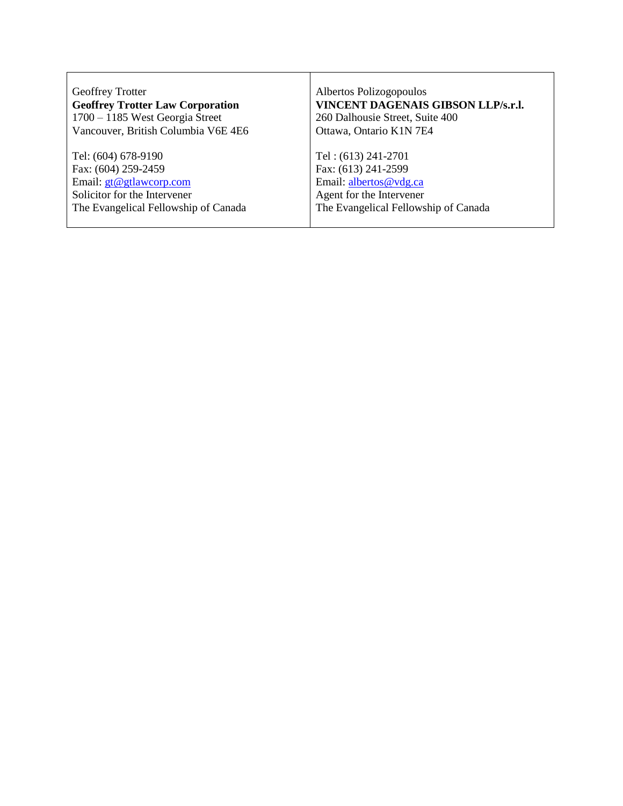| Geoffrey Trotter                        | Albertos Polizogopoulos              |
|-----------------------------------------|--------------------------------------|
| <b>Geoffrey Trotter Law Corporation</b> | VINCENT DAGENAIS GIBSON LLP/s.r.l.   |
| 1700 - 1185 West Georgia Street         | 260 Dalhousie Street, Suite 400      |
| Vancouver, British Columbia V6E 4E6     | Ottawa, Ontario K1N 7E4              |
| Tel: (604) 678-9190                     | Tel: $(613)$ 241-2701                |
| Fax: (604) 259-2459                     | Fax: (613) 241-2599                  |
| Email: gt@gtlawcorp.com                 | Email: albertos@vdg.ca               |
| Solicitor for the Intervener            | Agent for the Intervener             |
| The Evangelical Fellowship of Canada    | The Evangelical Fellowship of Canada |

Τ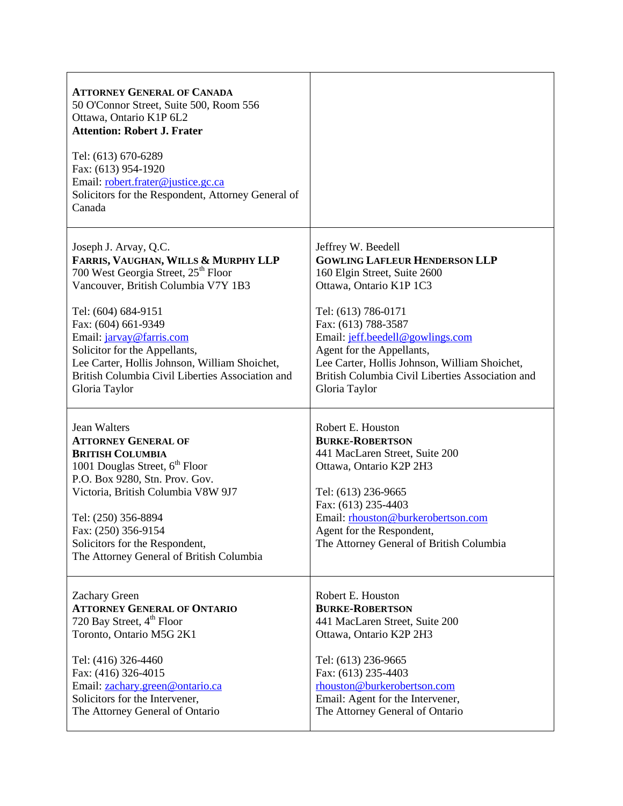| <b>ATTORNEY GENERAL OF CANADA</b><br>50 O'Connor Street, Suite 500, Room 556<br>Ottawa, Ontario K1P 6L2<br><b>Attention: Robert J. Frater</b><br>Tel: (613) 670-6289<br>Fax: (613) 954-1920<br>Email: robert.frater@justice.gc.ca<br>Solicitors for the Respondent, Attorney General of<br>Canada                       |                                                                                                                                                                                                                                                                       |
|-------------------------------------------------------------------------------------------------------------------------------------------------------------------------------------------------------------------------------------------------------------------------------------------------------------------------|-----------------------------------------------------------------------------------------------------------------------------------------------------------------------------------------------------------------------------------------------------------------------|
| Joseph J. Arvay, Q.C.                                                                                                                                                                                                                                                                                                   | Jeffrey W. Beedell                                                                                                                                                                                                                                                    |
| FARRIS, VAUGHAN, WILLS & MURPHY LLP                                                                                                                                                                                                                                                                                     | <b>GOWLING LAFLEUR HENDERSON LLP</b>                                                                                                                                                                                                                                  |
| 700 West Georgia Street, 25 <sup>th</sup> Floor                                                                                                                                                                                                                                                                         | 160 Elgin Street, Suite 2600                                                                                                                                                                                                                                          |
| Vancouver, British Columbia V7Y 1B3                                                                                                                                                                                                                                                                                     | Ottawa, Ontario K1P 1C3                                                                                                                                                                                                                                               |
| Tel: (604) 684-9151                                                                                                                                                                                                                                                                                                     | Tel: (613) 786-0171                                                                                                                                                                                                                                                   |
| Fax: (604) 661-9349                                                                                                                                                                                                                                                                                                     | Fax: (613) 788-3587                                                                                                                                                                                                                                                   |
| Email: jarvay@farris.com                                                                                                                                                                                                                                                                                                | Email: jeff.beedell@gowlings.com                                                                                                                                                                                                                                      |
| Solicitor for the Appellants,                                                                                                                                                                                                                                                                                           | Agent for the Appellants,                                                                                                                                                                                                                                             |
| Lee Carter, Hollis Johnson, William Shoichet,                                                                                                                                                                                                                                                                           | Lee Carter, Hollis Johnson, William Shoichet,                                                                                                                                                                                                                         |
| British Columbia Civil Liberties Association and                                                                                                                                                                                                                                                                        | British Columbia Civil Liberties Association and                                                                                                                                                                                                                      |
| Gloria Taylor                                                                                                                                                                                                                                                                                                           | Gloria Taylor                                                                                                                                                                                                                                                         |
| Jean Walters<br><b>ATTORNEY GENERAL OF</b><br><b>BRITISH COLUMBIA</b><br>1001 Douglas Street, 6 <sup>th</sup> Floor<br>P.O. Box 9280, Stn. Prov. Gov.<br>Victoria, British Columbia V8W 9J7<br>Tel: (250) 356-8894<br>Fax: (250) 356-9154<br>Solicitors for the Respondent,<br>The Attorney General of British Columbia | Robert E. Houston<br><b>BURKE-ROBERTSON</b><br>441 MacLaren Street, Suite 200<br>Ottawa, Ontario K2P 2H3<br>Tel: (613) 236-9665<br>Fax: (613) 235-4403<br>Email: rhouston@burkerobertson.com<br>Agent for the Respondent,<br>The Attorney General of British Columbia |
| <b>Zachary Green</b>                                                                                                                                                                                                                                                                                                    | Robert E. Houston                                                                                                                                                                                                                                                     |
| <b>ATTORNEY GENERAL OF ONTARIO</b>                                                                                                                                                                                                                                                                                      | <b>BURKE-ROBERTSON</b>                                                                                                                                                                                                                                                |
| 720 Bay Street, 4 <sup>th</sup> Floor                                                                                                                                                                                                                                                                                   | 441 MacLaren Street, Suite 200                                                                                                                                                                                                                                        |
| Toronto, Ontario M5G 2K1                                                                                                                                                                                                                                                                                                | Ottawa, Ontario K2P 2H3                                                                                                                                                                                                                                               |
| Tel: (416) 326-4460                                                                                                                                                                                                                                                                                                     | Tel: (613) 236-9665                                                                                                                                                                                                                                                   |
| Fax: (416) 326-4015                                                                                                                                                                                                                                                                                                     | Fax: (613) 235-4403                                                                                                                                                                                                                                                   |
| Email: zachary.green@ontario.ca                                                                                                                                                                                                                                                                                         | rhouston@burkerobertson.com                                                                                                                                                                                                                                           |
| Solicitors for the Intervener,                                                                                                                                                                                                                                                                                          | Email: Agent for the Intervener,                                                                                                                                                                                                                                      |
| The Attorney General of Ontario                                                                                                                                                                                                                                                                                         | The Attorney General of Ontario                                                                                                                                                                                                                                       |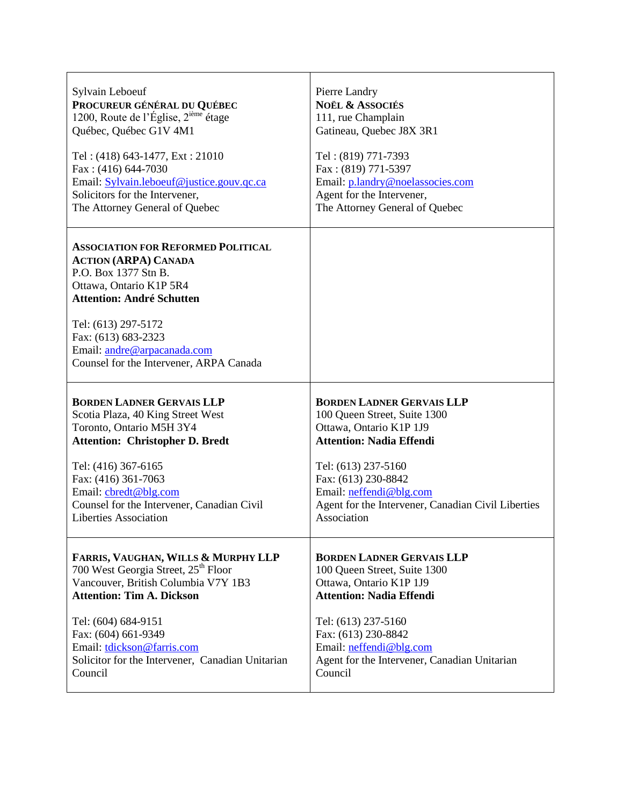| Sylvain Leboeuf                                                                                                                                                                                                                                                                         | Pierre Landry                                      |
|-----------------------------------------------------------------------------------------------------------------------------------------------------------------------------------------------------------------------------------------------------------------------------------------|----------------------------------------------------|
| PROCUREUR GÉNÉRAL DU QUÉBEC                                                                                                                                                                                                                                                             | <b>NOËL &amp; ASSOCIÉS</b>                         |
| 1200, Route de l'Église, $2^{i\text{time}}$ étage                                                                                                                                                                                                                                       | 111, rue Champlain                                 |
| Québec, Québec G1V 4M1                                                                                                                                                                                                                                                                  | Gatineau, Quebec J8X 3R1                           |
| Tel: (418) 643-1477, Ext: 21010                                                                                                                                                                                                                                                         | Tel: (819) 771-7393                                |
| Fax: $(416)$ 644-7030                                                                                                                                                                                                                                                                   | Fax: (819) 771-5397                                |
| Email: Sylvain.leboeuf@justice.gouv.qc.ca                                                                                                                                                                                                                                               | Email: p.landry@noelassocies.com                   |
| Solicitors for the Intervener,                                                                                                                                                                                                                                                          | Agent for the Intervener,                          |
| The Attorney General of Quebec                                                                                                                                                                                                                                                          | The Attorney General of Quebec                     |
| <b>ASSOCIATION FOR REFORMED POLITICAL</b><br><b>ACTION (ARPA) CANADA</b><br>P.O. Box 1377 Stn B.<br>Ottawa, Ontario K1P 5R4<br><b>Attention: André Schutten</b><br>Tel: (613) 297-5172<br>Fax: (613) 683-2323<br>Email: andre@arpacanada.com<br>Counsel for the Intervener, ARPA Canada |                                                    |
| <b>BORDEN LADNER GERVAIS LLP</b>                                                                                                                                                                                                                                                        | <b>BORDEN LADNER GERVAIS LLP</b>                   |
| Scotia Plaza, 40 King Street West                                                                                                                                                                                                                                                       | 100 Queen Street, Suite 1300                       |
| Toronto, Ontario M5H 3Y4                                                                                                                                                                                                                                                                | Ottawa, Ontario K1P 1J9                            |
| <b>Attention: Christopher D. Bredt</b>                                                                                                                                                                                                                                                  | <b>Attention: Nadia Effendi</b>                    |
| Tel: (416) 367-6165                                                                                                                                                                                                                                                                     | Tel: (613) 237-5160                                |
| Fax: (416) 361-7063                                                                                                                                                                                                                                                                     | Fax: (613) 230-8842                                |
| Email: cbredt@blg.com                                                                                                                                                                                                                                                                   | Email: neffendi@blg.com                            |
| Counsel for the Intervener, Canadian Civil                                                                                                                                                                                                                                              | Agent for the Intervener, Canadian Civil Liberties |
| Liberties Association                                                                                                                                                                                                                                                                   | Association                                        |
| FARRIS, VAUGHAN, WILLS & MURPHY LLP                                                                                                                                                                                                                                                     | <b>BORDEN LADNER GERVAIS LLP</b>                   |
| 700 West Georgia Street, 25 <sup>th</sup> Floor                                                                                                                                                                                                                                         | 100 Queen Street, Suite 1300                       |
| Vancouver, British Columbia V7Y 1B3                                                                                                                                                                                                                                                     | Ottawa, Ontario K1P 1J9                            |
| <b>Attention: Tim A. Dickson</b>                                                                                                                                                                                                                                                        | <b>Attention: Nadia Effendi</b>                    |
| Tel: (604) 684-9151                                                                                                                                                                                                                                                                     | Tel: (613) 237-5160                                |
| Fax: (604) 661-9349                                                                                                                                                                                                                                                                     | Fax: (613) 230-8842                                |
| Email: tdickson@farris.com                                                                                                                                                                                                                                                              | Email: neffendi@blg.com                            |
| Solicitor for the Intervener, Canadian Unitarian                                                                                                                                                                                                                                        | Agent for the Intervener, Canadian Unitarian       |
| Council                                                                                                                                                                                                                                                                                 | Council                                            |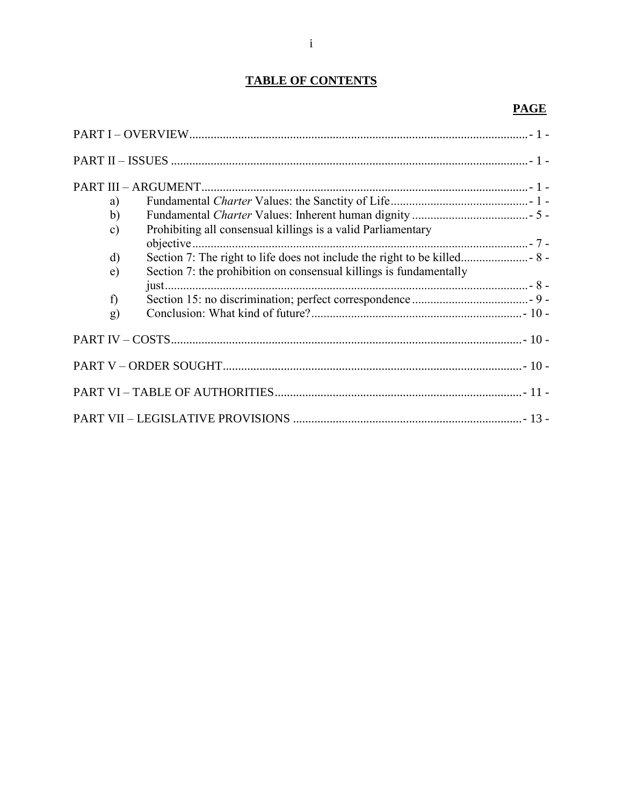# **TABLE OF CONTENTS**

# **PAGE**

| a)            |                                                                    |
|---------------|--------------------------------------------------------------------|
| b)            |                                                                    |
| $\mathbf{c})$ | Prohibiting all consensual killings is a valid Parliamentary       |
|               | objective.                                                         |
| d)            |                                                                    |
| e)            | Section 7: the prohibition on consensual killings is fundamentally |
|               |                                                                    |
| f)            |                                                                    |
| g)            |                                                                    |
|               |                                                                    |
|               |                                                                    |
|               |                                                                    |
|               |                                                                    |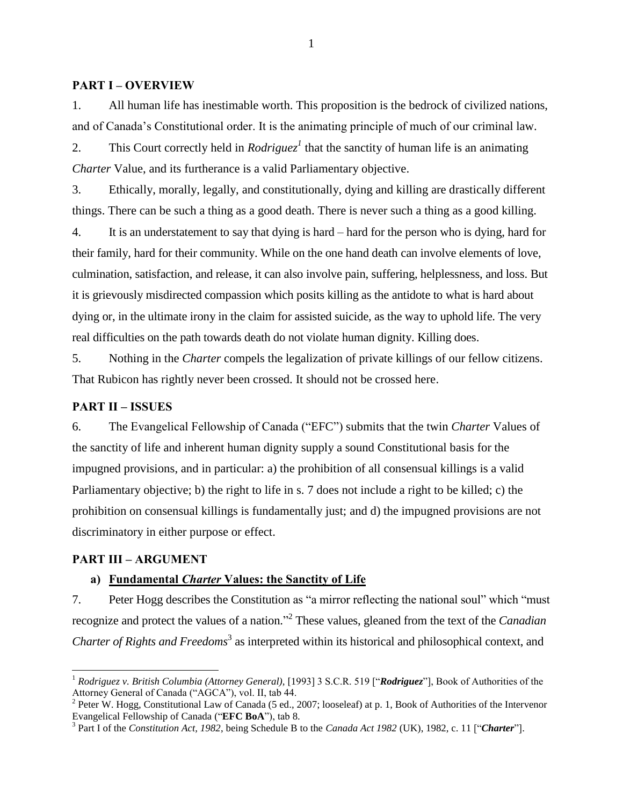#### <span id="page-5-0"></span>**PART I – OVERVIEW**

1. All human life has inestimable worth. This proposition is the bedrock of civilized nations, and of Canada's Constitutional order. It is the animating principle of much of our criminal law.

2. This Court correctly held in  $Rodriguez<sup>1</sup>$  that the sanctity of human life is an animating *Charter* Value, and its furtherance is a valid Parliamentary objective.

3. Ethically, morally, legally, and constitutionally, dying and killing are drastically different things. There can be such a thing as a good death. There is never such a thing as a good killing.

4. It is an understatement to say that dying is hard – hard for the person who is dying, hard for their family, hard for their community. While on the one hand death can involve elements of love, culmination, satisfaction, and release, it can also involve pain, suffering, helplessness, and loss. But it is grievously misdirected compassion which posits killing as the antidote to what is hard about dying or, in the ultimate irony in the claim for assisted suicide, as the way to uphold life. The very real difficulties on the path towards death do not violate human dignity. Killing does.

5. Nothing in the *Charter* compels the legalization of private killings of our fellow citizens. That Rubicon has rightly never been crossed. It should not be crossed here.

#### <span id="page-5-1"></span>**PART II – ISSUES**

6. The Evangelical Fellowship of Canada ("EFC") submits that the twin *Charter* Values of the sanctity of life and inherent human dignity supply a sound Constitutional basis for the impugned provisions, and in particular: a) the prohibition of all consensual killings is a valid Parliamentary objective; b) the right to life in s. 7 does not include a right to be killed; c) the prohibition on consensual killings is fundamentally just; and d) the impugned provisions are not discriminatory in either purpose or effect.

#### <span id="page-5-3"></span><span id="page-5-2"></span>**PART III – ARGUMENT**

i<br>L

#### **a) Fundamental** *Charter* **Values: the Sanctity of Life**

7. Peter Hogg describes the Constitution as "a mirror reflecting the national soul" which "must recognize and protect the values of a nation." 2 These values, gleaned from the text of the *Canadian*  Charter of Rights and Freedoms<sup>3</sup> as interpreted within its historical and philosophical context, and

1

<sup>1</sup> *Rodriguez v. British Columbia (Attorney General),* [1993] 3 S.C.R. 519 ["*Rodriguez*"], Book of Authorities of the Attorney General of Canada ("AGCA"), vol. II, tab 44.

<sup>&</sup>lt;sup>2</sup> Peter W. Hogg, Constitutional Law of Canada (5 ed., 2007; looseleaf) at p. 1, Book of Authorities of the Intervenor Evangelical Fellowship of Canada ("**EFC BoA**"), tab 8.

<sup>3</sup> Part I of the *Constitution Act, 1982*, being Schedule B to the *Canada Act 1982* (UK), 1982, c. 11 ["*Charter*"].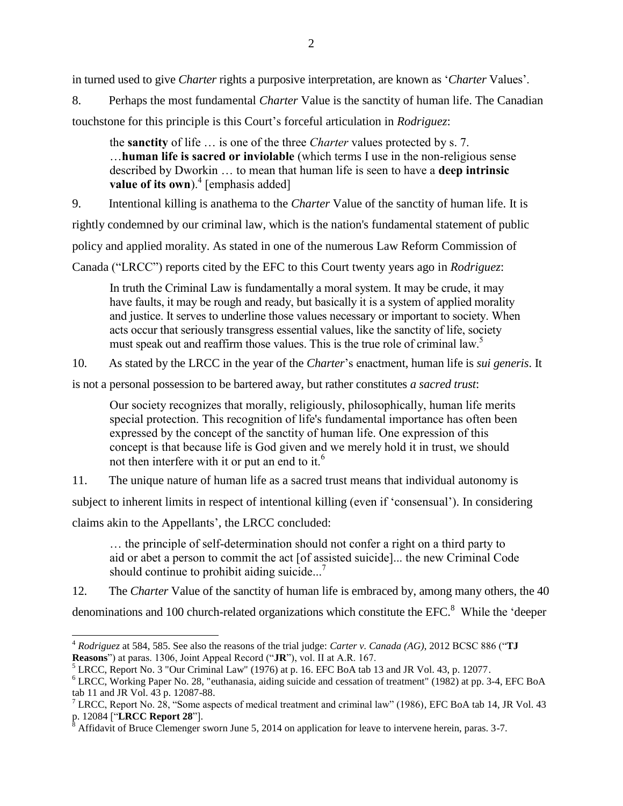in turned used to give *Charter* rights a purposive interpretation, are known as '*Charter* Values'.

8. Perhaps the most fundamental *Charter* Value is the sanctity of human life. The Canadian

touchstone for this principle is this Court's forceful articulation in *Rodriguez*:

the **sanctity** of life … is one of the three *Charter* values protected by s. 7. …**human life is sacred or inviolable** (which terms I use in the non-religious sense described by Dworkin … to mean that human life is seen to have a **deep intrinsic value of its own**).<sup>4</sup> [emphasis added]

9. Intentional killing is anathema to the *Charter* Value of the sanctity of human life. It is

rightly condemned by our criminal law, which is the nation's fundamental statement of public

policy and applied morality. As stated in one of the numerous Law Reform Commission of

Canada ("LRCC") reports cited by the EFC to this Court twenty years ago in *Rodriguez*:

In truth the Criminal Law is fundamentally a moral system. It may be crude, it may have faults, it may be rough and ready, but basically it is a system of applied morality and justice. It serves to underline those values necessary or important to society. When acts occur that seriously transgress essential values, like the sanctity of life, society must speak out and reaffirm those values. This is the true role of criminal law.<sup>5</sup>

10. As stated by the LRCC in the year of the *Charter*'s enactment, human life is *sui generis*. It

is not a personal possession to be bartered away, but rather constitutes *a sacred trust*:

Our society recognizes that morally, religiously, philosophically, human life merits special protection. This recognition of life's fundamental importance has often been expressed by the concept of the sanctity of human life. One expression of this concept is that because life is God given and we merely hold it in trust, we should not then interfere with it or put an end to it.<sup>6</sup>

11. The unique nature of human life as a sacred trust means that individual autonomy is subject to inherent limits in respect of intentional killing (even if 'consensual'). In considering

claims akin to the Appellants', the LRCC concluded:

i<br>L

… the principle of self-determination should not confer a right on a third party to aid or abet a person to commit the act [of assisted suicide]... the new Criminal Code should continue to prohibit aiding suicide...<sup>7</sup>

12. The *Charter* Value of the sanctity of human life is embraced by, among many others, the 40 denominations and 100 church-related organizations which constitute the EFC.<sup>8</sup> While the 'deeper

<sup>4</sup> *Rodriguez* at 584, 585. See also the reasons of the trial judge: *Carter v. Canada (AG)*, 2012 BCSC 886 ("**TJ Reasons**") at paras. 1306, Joint Appeal Record ("**JR**"), vol. II at A.R. 167.

<sup>&</sup>lt;sup>5</sup> LRCC, Report No. 3 "Our Criminal Law" (1976) at p. 16. EFC BoA tab 13 and JR Vol. 43, p. 12077.

<sup>&</sup>lt;sup>6</sup> LRCC, Working Paper No. 28, "euthanasia, aiding suicide and cessation of treatment" (1982) at pp. 3-4, EFC BoA tab 11 and JR Vol. 43 p. 12087-88.

<sup>&</sup>lt;sup>7</sup> LRCC, Report No. 28, "Some aspects of medical treatment and criminal law" (1986), EFC BoA tab 14, JR Vol. 43 p. 12084 ["**LRCC Report 28**"].

Affidavit of Bruce Clemenger sworn June 5, 2014 on application for leave to intervene herein, paras. 3-7.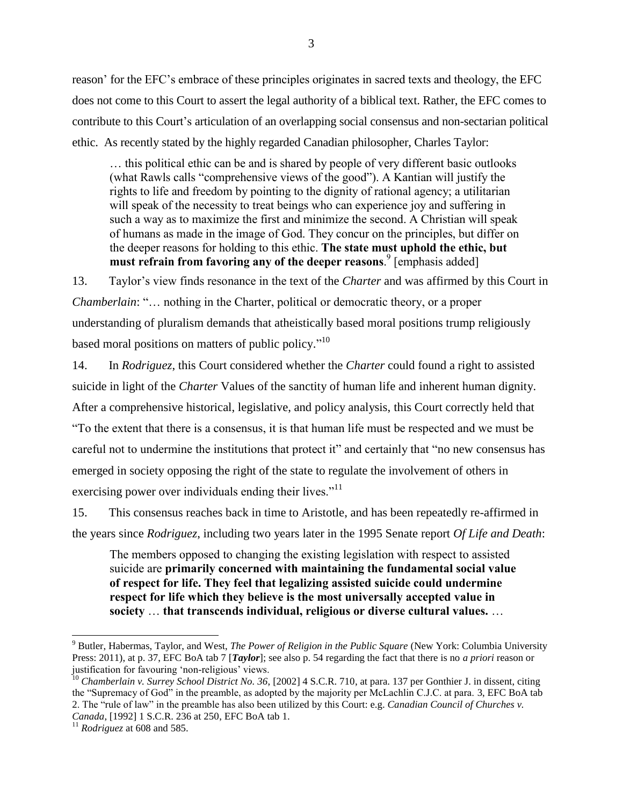reason' for the EFC's embrace of these principles originates in sacred texts and theology, the EFC does not come to this Court to assert the legal authority of a biblical text. Rather, the EFC comes to contribute to this Court's articulation of an overlapping social consensus and non-sectarian political ethic. As recently stated by the highly regarded Canadian philosopher, Charles Taylor:

… this political ethic can be and is shared by people of very different basic outlooks (what Rawls calls "comprehensive views of the good"). A Kantian will justify the rights to life and freedom by pointing to the dignity of rational agency; a utilitarian will speak of the necessity to treat beings who can experience joy and suffering in such a way as to maximize the first and minimize the second. A Christian will speak of humans as made in the image of God. They concur on the principles, but differ on the deeper reasons for holding to this ethic. **The state must uphold the ethic, but must refrain from favoring any of the deeper reasons**. 9 [emphasis added]

13. Taylor's view finds resonance in the text of the *Charter* and was affirmed by this Court in *Chamberlain*: "… nothing in the Charter, political or democratic theory, or a proper understanding of pluralism demands that atheistically based moral positions trump religiously based moral positions on matters of public policy."<sup>10</sup>

14. In *Rodriguez*, this Court considered whether the *Charter* could found a right to assisted suicide in light of the *Charter* Values of the sanctity of human life and inherent human dignity. After a comprehensive historical, legislative, and policy analysis, this Court correctly held that "To the extent that there is a consensus, it is that human life must be respected and we must be careful not to undermine the institutions that protect it" and certainly that "no new consensus has emerged in society opposing the right of the state to regulate the involvement of others in exercising power over individuals ending their lives."<sup>11</sup>

15. This consensus reaches back in time to Aristotle, and has been repeatedly re-affirmed in the years since *Rodriguez*, including two years later in the 1995 Senate report *Of Life and Death*:

The members opposed to changing the existing legislation with respect to assisted suicide are **primarily concerned with maintaining the fundamental social value of respect for life. They feel that legalizing assisted suicide could undermine respect for life which they believe is the most universally accepted value in society** … **that transcends individual, religious or diverse cultural values.** …

i<br>L

<sup>9</sup> Butler, Habermas, Taylor, and West, *The Power of Religion in the Public Square* (New York: Columbia University Press: 2011), at p. 37, EFC BoA tab 7 [*Taylor*]; see also p. 54 regarding the fact that there is no *a priori* reason or justification for favouring 'non-religious' views.

<sup>10</sup> *Chamberlain v. Surrey School District No. 36*, [2002] 4 S.C.R. 710, at para. 137 per Gonthier J. in dissent, citing the "Supremacy of God" in the preamble, as adopted by the majority per McLachlin C.J.C. at para. 3, EFC BoA tab 2. The "rule of law" in the preamble has also been utilized by this Court: e.g. *Canadian Council of Churches v. Canada*, [1992] 1 S.C.R. 236 at 250, EFC BoA tab 1.

<sup>11</sup> *Rodriguez* at 608 and 585.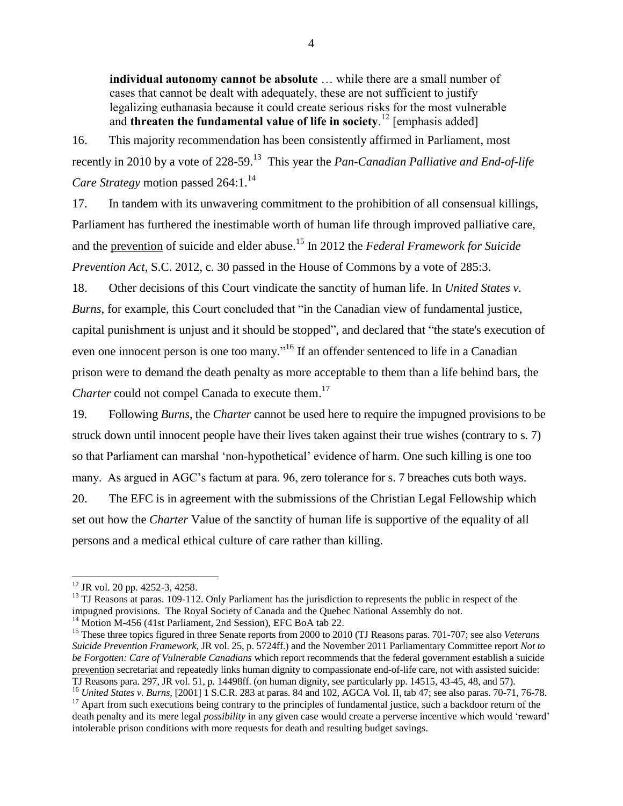**individual autonomy cannot be absolute** … while there are a small number of cases that cannot be dealt with adequately, these are not sufficient to justify legalizing euthanasia because it could create serious risks for the most vulnerable and **threaten the fundamental value of life in society**. <sup>12</sup> [emphasis added]

16. This majority recommendation has been consistently affirmed in Parliament, most recently in 2010 by a vote of 228-59.<sup>13</sup> This year the *Pan-Canadian Palliative and End-of-life Care Strategy* motion passed 264:1. 14

17. In tandem with its unwavering commitment to the prohibition of all consensual killings, Parliament has furthered the inestimable worth of human life through improved palliative care, and the prevention of suicide and elder abuse. <sup>15</sup> In 2012 the *Federal Framework for Suicide Prevention Act,* S.C. 2012, c. 30 passed in the House of Commons by a vote of 285:3.

18. Other decisions of this Court vindicate the sanctity of human life. In *United States v. Burns*, for example, this Court concluded that "in the Canadian view of fundamental justice, capital punishment is unjust and it should be stopped", and declared that "the state's execution of even one innocent person is one too many."<sup>16</sup> If an offender sentenced to life in a Canadian prison were to demand the death penalty as more acceptable to them than a life behind bars, the *Charter* could not compel Canada to execute them. 17

19. Following *Burns*, the *Charter* cannot be used here to require the impugned provisions to be struck down until innocent people have their lives taken against their true wishes (contrary to s. 7) so that Parliament can marshal 'non-hypothetical' evidence of harm. One such killing is one too many. As argued in AGC's factum at para. 96, zero tolerance for s. 7 breaches cuts both ways. 20. The EFC is in agreement with the submissions of the Christian Legal Fellowship which set out how the *Charter* Value of the sanctity of human life is supportive of the equality of all persons and a medical ethical culture of care rather than killing.

ı.

 $12$  JR vol. 20 pp. 4252-3, 4258.

<sup>&</sup>lt;sup>13</sup> TJ Reasons at paras. 109-112. Only Parliament has the jurisdiction to represents the public in respect of the impugned provisions. The Royal Society of Canada and the Quebec National Assembly do not.  $^{14}$  Motion M-456 (41st Parliament, 2nd Session), EFC BoA tab 22.

<sup>&</sup>lt;sup>15</sup> These three topics figured in three Senate reports from 2000 to 2010 (TJ Reasons paras. 701-707; see also *Veterans Suicide Prevention Framework*, JR vol. 25, p. 5724ff.) and the November 2011 Parliamentary Committee report *Not to be Forgotten: Care of Vulnerable Canadians* which report recommends that the federal government establish a suicide prevention secretariat and repeatedly links human dignity to compassionate end-of-life care, not with assisted suicide: TJ Reasons para. 297, JR vol. 51, p. 14498ff. (on human dignity, see particularly pp. 14515, 43-45, 48, and 57).

<sup>16</sup> *United States v. Burns*, [2001] 1 S.C.R. 283 at paras. 84 and 102, AGCA Vol. II, tab 47; see also paras. 70-71, 76-78. <sup>17</sup> Apart from such executions being contrary to the principles of fundamental justice, such a backdoor return of the

death penalty and its mere legal *possibility* in any given case would create a perverse incentive which would 'reward' intolerable prison conditions with more requests for death and resulting budget savings.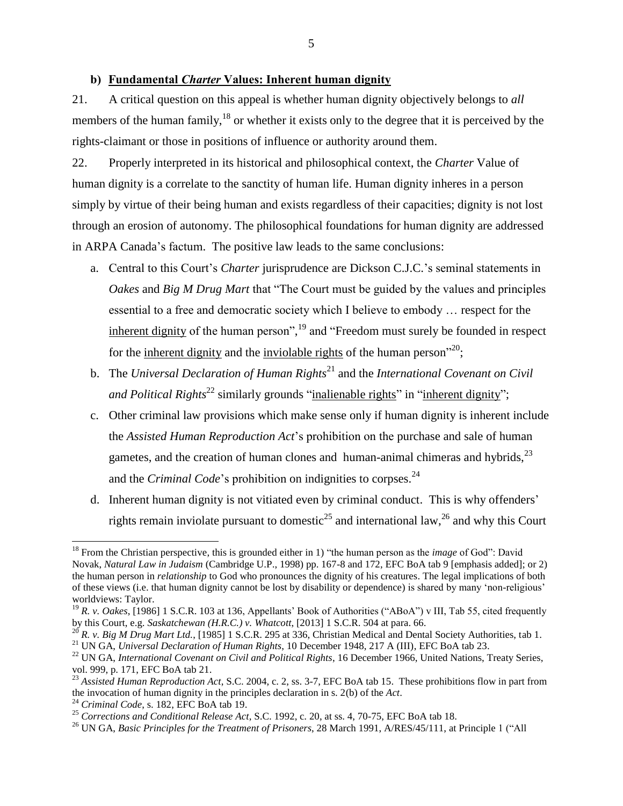## <span id="page-9-0"></span>**b) Fundamental** *Charter* **Values: Inherent human dignity**

21. A critical question on this appeal is whether human dignity objectively belongs to *all* members of the human family, $18$  or whether it exists only to the degree that it is perceived by the rights-claimant or those in positions of influence or authority around them.

22. Properly interpreted in its historical and philosophical context, the *Charter* Value of human dignity is a correlate to the sanctity of human life. Human dignity inheres in a person simply by virtue of their being human and exists regardless of their capacities; dignity is not lost through an erosion of autonomy. The philosophical foundations for human dignity are addressed in ARPA Canada's factum. The positive law leads to the same conclusions:

- a. Central to this Court's *Charter* jurisprudence are Dickson C.J.C.'s seminal statements in *Oakes* and *Big M Drug Mart* that "The Court must be guided by the values and principles essential to a free and democratic society which I believe to embody … respect for the inherent dignity of the human person", <sup>19</sup> and "Freedom must surely be founded in respect for the <u>inherent dignity</u> and the <u>inviolable rights</u> of the human person<sup> $20$ </sup>;
- b. The *Universal Declaration of Human Rights*<sup>21</sup> and the *International Covenant on Civil and Political Rights*<sup>22</sup> similarly grounds "inalienable rights" in "inherent dignity";
- c. Other criminal law provisions which make sense only if human dignity is inherent include the *Assisted Human Reproduction Act*'s prohibition on the purchase and sale of human gametes, and the creation of human clones and human-animal chimeras and hybrids,  $^{23}$ and the *Criminal Code*'s prohibition on indignities to corpses.<sup>24</sup>
- d. Inherent human dignity is not vitiated even by criminal conduct. This is why offenders' rights remain inviolate pursuant to domestic<sup>25</sup> and international law,  $^{26}$  and why this Court

i<br>L

<sup>18</sup> From the Christian perspective, this is grounded either in 1) "the human person as the *image* of God": David Novak, *Natural Law in Judaism* (Cambridge U.P., 1998) pp. 167-8 and 172, EFC BoA tab 9 [emphasis added]; or 2) the human person in *relationship* to God who pronounces the dignity of his creatures. The legal implications of both of these views (i.e. that human dignity cannot be lost by disability or dependence) is shared by many 'non-religious' worldviews: Taylor.

<sup>&</sup>lt;sup>19</sup> *R. v. Oakes*, [1986] 1 S.C.R. 103 at 136, Appellants' Book of Authorities ("ABoA") v III, Tab 55, cited frequently by this Court, e.g. *Saskatchewan (H.R.C.) v. Whatcott*, [2013] 1 S.C.R. 504 at para. 66.

<sup>&</sup>lt;sup>20</sup> *R. v. Big M Drug Mart Ltd.*, [1985] 1 S.C.R. 295 at 336, Christian Medical and Dental Society Authorities, tab 1.

<sup>21</sup> UN GA, *Universal Declaration of Human Rights*, 10 December 1948, 217 A (III), EFC BoA tab 23.

<sup>22</sup> UN GA, *International Covenant on Civil and Political Rights*, 16 December 1966, United Nations, Treaty Series, vol. 999, p. 171, EFC BoA tab 21.

<sup>23</sup> *Assisted Human Reproduction Act*, S.C. 2004, c. 2, ss. 3-7, EFC BoA tab 15. These prohibitions flow in part from the invocation of human dignity in the principles declaration in s. 2(b) of the *Act*.

<sup>24</sup> *Criminal Code*, s. 182, EFC BoA tab 19.

<sup>25</sup> *Corrections and Conditional Release Act*, S.C. 1992, c. 20, at ss. 4, 70-75, EFC BoA tab 18.

<sup>26</sup> UN GA, *Basic Principles for the Treatment of Prisoners*, 28 March 1991, A/RES/45/111, at Principle 1 ("All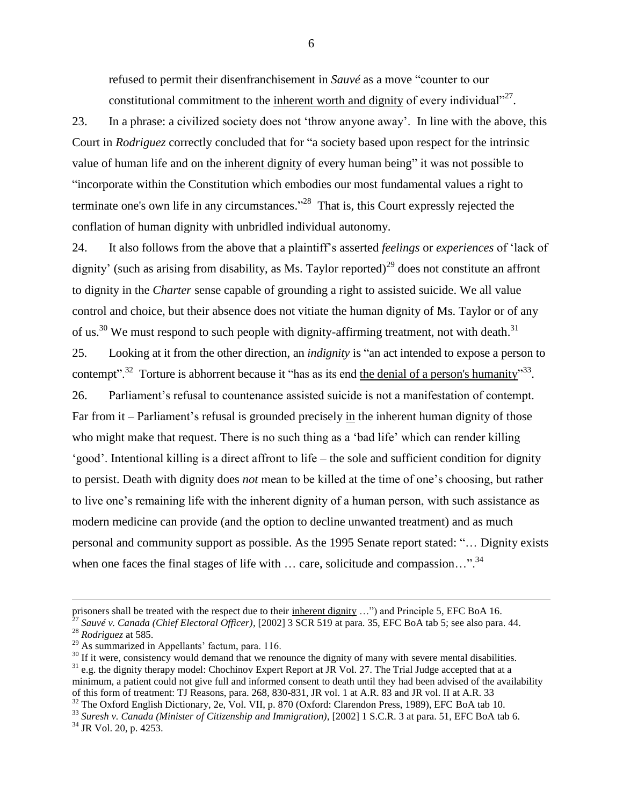refused to permit their disenfranchisement in *Sauvé* as a move "counter to our constitutional commitment to the inherent worth and dignity of every individual"<sup>27</sup>.

23. In a phrase: a civilized society does not 'throw anyone away'. In line with the above, this Court in *Rodriguez* correctly concluded that for "a society based upon respect for the intrinsic value of human life and on the inherent dignity of every human being" it was not possible to "incorporate within the Constitution which embodies our most fundamental values a right to terminate one's own life in any circumstances."<sup>28</sup> That is, this Court expressly rejected the conflation of human dignity with unbridled individual autonomy.

<span id="page-10-0"></span>24. It also follows from the above that a plaintiff's asserted *feelings* or *experiences* of 'lack of dignity' (such as arising from disability, as Ms. Taylor reported)<sup>29</sup> does not constitute an affront to dignity in the *Charter* sense capable of grounding a right to assisted suicide. We all value control and choice, but their absence does not vitiate the human dignity of Ms. Taylor or of any of us.<sup>30</sup> We must respond to such people with dignity-affirming treatment, not with death.<sup>31</sup>

25. Looking at it from the other direction, an *indignity* is "an act intended to expose a person to contempt".<sup>32</sup> Torture is abhorrent because it "has as its end the denial of a person's humanity".<sup>33</sup>.

<span id="page-10-1"></span>26. Parliament's refusal to countenance assisted suicide is not a manifestation of contempt. Far from it – Parliament's refusal is grounded precisely in the inherent human dignity of those who might make that request. There is no such thing as a 'bad life' which can render killing 'good'. Intentional killing is a direct affront to life – the sole and sufficient condition for dignity to persist. Death with dignity does *not* mean to be killed at the time of one's choosing, but rather to live one's remaining life with the inherent dignity of a human person, with such assistance as modern medicine can provide (and the option to decline unwanted treatment) and as much personal and community support as possible. As the 1995 Senate report stated: "… Dignity exists when one faces the final stages of life with  $\ldots$  care, solicitude and compassion...".<sup>34</sup>

i<br>L

6

prisoners shall be treated with the respect due to their inherent dignity …") and Principle 5, EFC BoA 16.

<sup>27</sup> *Sauvé v. Canada (Chief Electoral Officer)*, [2002] 3 SCR 519 at para. 35, EFC BoA tab 5; see also para. 44. <sup>28</sup> *Rodriguez* at 585.

 $29$  As summarized in Appellants' factum, para. 116.

<sup>&</sup>lt;sup>30</sup> If it were, consistency would demand that we renounce the dignity of many with severe mental disabilities.

<sup>&</sup>lt;sup>31</sup> e.g. the dignity therapy model: Chochinov Expert Report at JR Vol. 27. The Trial Judge accepted that at a minimum, a patient could not give full and informed consent to death until they had been advised of the availability of this form of treatment: TJ Reasons, para. 268, 830-831, JR vol. 1 at A.R. 83 and JR vol. II at A.R. 33

<sup>&</sup>lt;sup>32</sup> The Oxford English Dictionary, 2e, Vol. VII, p. 870 (Oxford: Clarendon Press, 1989), EFC BoA tab 10.

<sup>33</sup> *Suresh v. Canada (Minister of Citizenship and Immigration)*, [2002] 1 S.C.R. 3 at para. 51, EFC BoA tab 6.

<sup>34</sup> JR Vol. 20, p. 4253.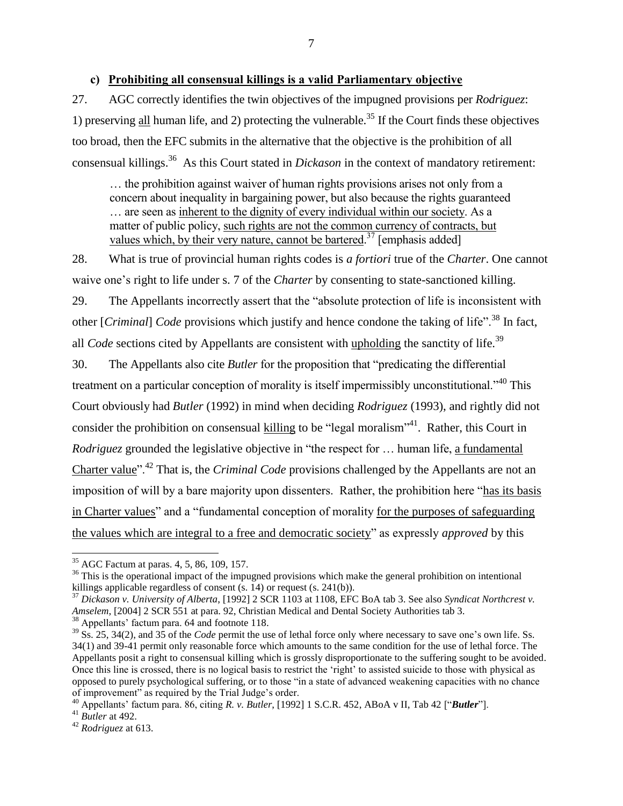## <span id="page-11-0"></span>**c) Prohibiting all consensual killings is a valid Parliamentary objective**

27. AGC correctly identifies the twin objectives of the impugned provisions per *Rodriguez*: 1) preserving all human life, and 2) protecting the vulnerable.<sup>35</sup> If the Court finds these objectives too broad, then the EFC submits in the alternative that the objective is the prohibition of all consensual killings. 36 As this Court stated in *Dickason* in the context of mandatory retirement:

… the prohibition against waiver of human rights provisions arises not only from a concern about inequality in bargaining power, but also because the rights guaranteed … are seen as inherent to the dignity of every individual within our society. As a matter of public policy, such rights are not the common currency of contracts, but values which, by their very nature, cannot be bartered.<sup>37</sup> [emphasis added]

28. What is true of provincial human rights codes is *a fortiori* true of the *Charter*. One cannot waive one's right to life under s. 7 of the *Charter* by consenting to state-sanctioned killing.

29. The Appellants incorrectly assert that the "absolute protection of life is inconsistent with other *[Criminal] Code* provisions which justify and hence condone the taking of life".<sup>38</sup> In fact, all *Code* sections cited by Appellants are consistent with upholding the sanctity of life.<sup>39</sup>

30. The Appellants also cite *Butler* for the proposition that "predicating the differential treatment on a particular conception of morality is itself impermissibly unconstitutional."<sup>40</sup> This Court obviously had *Butler* (1992) in mind when deciding *Rodriguez* (1993), and rightly did not consider the prohibition on consensual  $\underline{k}$ illing to be "legal moralism"<sup>41</sup>. Rather, this Court in *Rodriguez* grounded the legislative objective in "the respect for ... human life, a fundamental Charter value".<sup>42</sup> That is, the *Criminal Code* provisions challenged by the Appellants are not an imposition of will by a bare majority upon dissenters. Rather, the prohibition here "has its basis in Charter values" and a "fundamental conception of morality for the purposes of safeguarding the values which are integral to a free and democratic society" as expressly *approved* by this

l,

<sup>35</sup> AGC Factum at paras. 4, 5, 86, 109, 157.

<sup>&</sup>lt;sup>36</sup> This is the operational impact of the impugned provisions which make the general prohibition on intentional killings applicable regardless of consent (s. 14) or request (s. 241(b)).

<sup>37</sup> *Dickason v. University of Alberta*, [1992] 2 SCR 1103 at 1108, EFC BoA tab 3. See also *Syndicat Northcrest v. Amselem*, [2004] 2 SCR 551 at para. 92, Christian Medical and Dental Society Authorities tab 3. <sup>38</sup> Appellants' factum para. 64 and footnote 118.

 $39$  Ss. 25, 34(2), and  $35$  of the *Code* permit the use of lethal force only where necessary to save one's own life. Ss. 34(1) and 39-41 permit only reasonable force which amounts to the same condition for the use of lethal force. The Appellants posit a right to consensual killing which is grossly disproportionate to the suffering sought to be avoided. Once this line is crossed, there is no logical basis to restrict the 'right' to assisted suicide to those with physical as opposed to purely psychological suffering, or to those "in a state of advanced weakening capacities with no chance of improvement" as required by the Trial Judge's order.

<sup>40</sup> Appellants' factum para. 86, citing *R. v. Butler*, [1992] 1 S.C.R. 452, ABoA v II, Tab 42 ["*Butler*"].

<sup>41</sup> *Butler* at 492.

<sup>42</sup> *Rodriguez* at 613.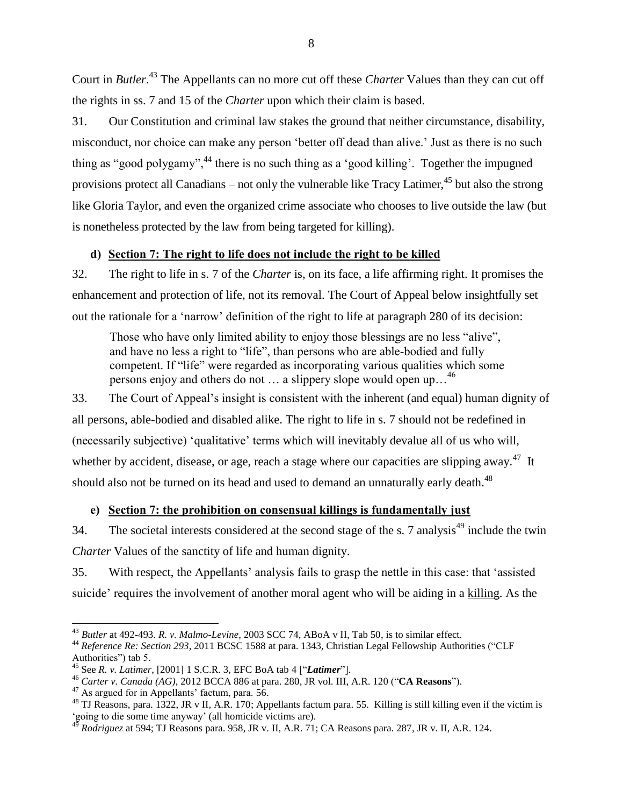Court in *Butler*. <sup>43</sup> The Appellants can no more cut off these *Charter* Values than they can cut off the rights in ss. 7 and 15 of the *Charter* upon which their claim is based.

31. Our Constitution and criminal law stakes the ground that neither circumstance, disability, misconduct, nor choice can make any person 'better off dead than alive.' Just as there is no such thing as "good polygamy",<sup>44</sup> there is no such thing as a 'good killing'. Together the impugned provisions protect all Canadians – not only the vulnerable like Tracy Latimer,<sup>45</sup> but also the strong like Gloria Taylor, and even the organized crime associate who chooses to live outside the law (but is nonetheless protected by the law from being targeted for killing).

## <span id="page-12-0"></span>**d) Section 7: The right to life does not include the right to be killed**

32. The right to life in s. 7 of the *Charter* is, on its face, a life affirming right. It promises the enhancement and protection of life, not its removal. The Court of Appeal below insightfully set out the rationale for a 'narrow' definition of the right to life at paragraph 280 of its decision:

Those who have only limited ability to enjoy those blessings are no less "alive", and have no less a right to "life", than persons who are able-bodied and fully competent. If "life" were regarded as incorporating various qualities which some persons enjoy and others do not … a slippery slope would open up…<sup>46</sup>

33. The Court of Appeal's insight is consistent with the inherent (and equal) human dignity of all persons, able-bodied and disabled alike. The right to life in s. 7 should not be redefined in (necessarily subjective) 'qualitative' terms which will inevitably devalue all of us who will, whether by accident, disease, or age, reach a stage where our capacities are slipping away.<sup>47</sup> It should also not be turned on its head and used to demand an unnaturally early death.<sup>48</sup>

## <span id="page-12-1"></span>**e) Section 7: the prohibition on consensual killings is fundamentally just**

34. The societal interests considered at the second stage of the s. 7 analysis<sup>49</sup> include the twin *Charter* Values of the sanctity of life and human dignity.

35. With respect, the Appellants' analysis fails to grasp the nettle in this case: that 'assisted suicide' requires the involvement of another moral agent who will be aiding in a killing. As the

l,

<sup>43</sup> *Butler* at 492-493. *R. v. Malmo-Levine*, 2003 SCC 74, ABoA v II, Tab 50, is to similar effect.

<sup>44</sup> *Reference Re: Section 293*, 2011 BCSC 1588 at para. 1343, Christian Legal Fellowship Authorities ("CLF Authorities") tab 5.

<sup>45</sup> See *R. v. Latimer*, [2001] 1 S.C.R. 3, EFC BoA tab 4 ["*Latimer*"].

<sup>46</sup> *Carter v. Canada (AG)*, 2012 BCCA 886 at para. 280, JR vol. III, A.R. 120 ("**CA Reasons**").

 $47$  As argued for in Appellants' factum, para. 56.

<sup>&</sup>lt;sup>48</sup> TJ Reasons, para. 1322, JR v II, A.R. 170; Appellants factum para. 55. Killing is still killing even if the victim is 'going to die some time anyway' (all homicide victims are).

*Rodriguez* at 594; TJ Reasons para. 958, JR v. II, A.R. 71; CA Reasons para. 287, JR v. II, A.R. 124.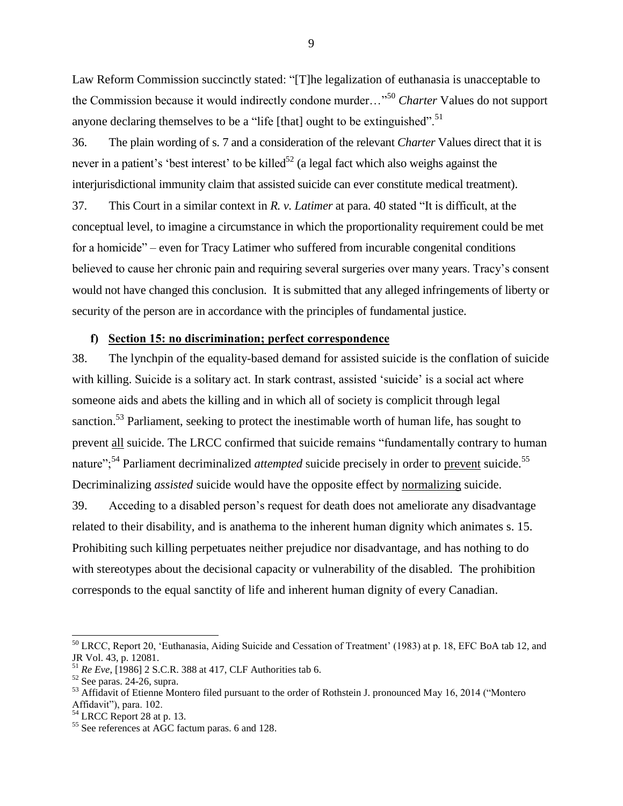Law Reform Commission succinctly stated: "[T]he legalization of euthanasia is unacceptable to the Commission because it would indirectly condone murder…" <sup>50</sup> *Charter* Values do not support anyone declaring themselves to be a "life [that] ought to be extinguished".<sup>51</sup>

36. The plain wording of s. 7 and a consideration of the relevant *Charter* Values direct that it is never in a patient's 'best interest' to be killed<sup>52</sup> (a legal fact which also weighs against the interjurisdictional immunity claim that assisted suicide can ever constitute medical treatment).

37. This Court in a similar context in *R. v. Latimer* at para. 40 stated "It is difficult, at the conceptual level, to imagine a circumstance in which the proportionality requirement could be met for a homicide" – even for Tracy Latimer who suffered from incurable congenital conditions believed to cause her chronic pain and requiring several surgeries over many years. Tracy's consent would not have changed this conclusion. It is submitted that any alleged infringements of liberty or security of the person are in accordance with the principles of fundamental justice.

## <span id="page-13-0"></span>**f) Section 15: no discrimination; perfect correspondence**

38. The lynchpin of the equality-based demand for assisted suicide is the conflation of suicide with killing. Suicide is a solitary act. In stark contrast, assisted 'suicide' is a social act where someone aids and abets the killing and in which all of society is complicit through legal sanction.<sup>53</sup> Parliament, seeking to protect the inestimable worth of human life, has sought to prevent all suicide. The LRCC confirmed that suicide remains "fundamentally contrary to human nature",<sup>54</sup> Parliament decriminalized *attempted* suicide precisely in order to prevent suicide.<sup>55</sup> Decriminalizing *assisted* suicide would have the opposite effect by normalizing suicide.

39. Acceding to a disabled person's request for death does not ameliorate any disadvantage related to their disability, and is anathema to the inherent human dignity which animates s. 15. Prohibiting such killing perpetuates neither prejudice nor disadvantage, and has nothing to do with stereotypes about the decisional capacity or vulnerability of the disabled. The prohibition corresponds to the equal sanctity of life and inherent human dignity of every Canadian.

i<br>L

9

<sup>50</sup> LRCC, Report 20, 'Euthanasia, Aiding Suicide and Cessation of Treatment' (1983) at p. 18, EFC BoA tab 12, and JR Vol. 43, p. 12081.

<sup>51</sup> *Re Eve*, [1986] 2 S.C.R. 388 at 417, CLF Authorities tab 6.

 $52$  See paras. [24](#page-10-0)[-26,](#page-10-1) supra.

<sup>&</sup>lt;sup>53</sup> Affidavit of Etienne Montero filed pursuant to the order of Rothstein J. pronounced May 16, 2014 ("Montero Affidavit"), para. 102.

<sup>54</sup> LRCC Report 28 at p. 13.

<sup>55</sup> See references at AGC factum paras. 6 and 128.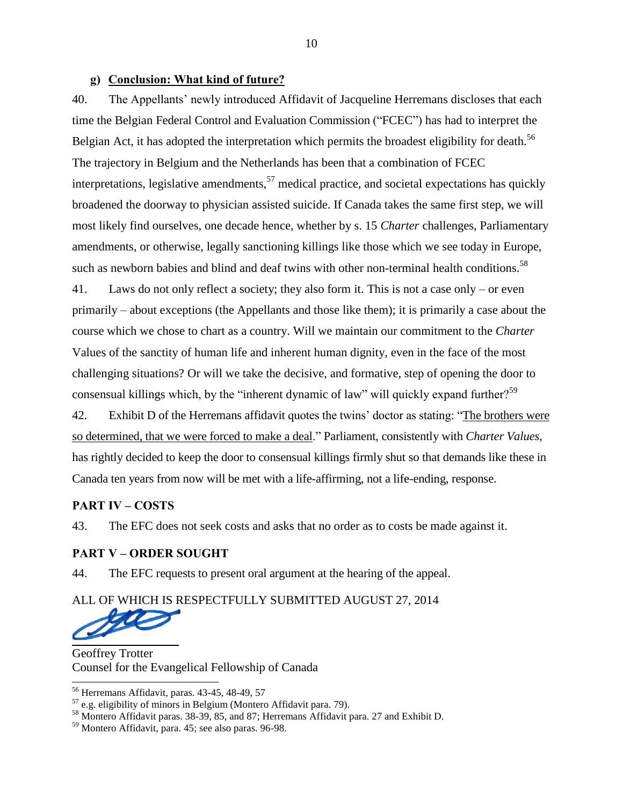## <span id="page-14-0"></span>**g) Conclusion: What kind of future?**

40. The Appellants' newly introduced Affidavit of Jacqueline Herremans discloses that each time the Belgian Federal Control and Evaluation Commission ("FCEC") has had to interpret the Belgian Act, it has adopted the interpretation which permits the broadest eligibility for death.<sup>56</sup> The trajectory in Belgium and the Netherlands has been that a combination of FCEC interpretations, legislative amendments,  $57$  medical practice, and societal expectations has quickly broadened the doorway to physician assisted suicide. If Canada takes the same first step, we will most likely find ourselves, one decade hence, whether by s. 15 *Charter* challenges, Parliamentary amendments, or otherwise, legally sanctioning killings like those which we see today in Europe, such as newborn babies and blind and deaf twins with other non-terminal health conditions.<sup>58</sup>

41. Laws do not only reflect a society; they also form it. This is not a case only – or even primarily – about exceptions (the Appellants and those like them); it is primarily a case about the course which we chose to chart as a country. Will we maintain our commitment to the *Charter* Values of the sanctity of human life and inherent human dignity, even in the face of the most challenging situations? Or will we take the decisive, and formative, step of opening the door to consensual killings which, by the "inherent dynamic of law" will quickly expand further?<sup>59</sup>

42. Exhibit D of the Herremans affidavit quotes the twins' doctor as stating: "The brothers were so determined, that we were forced to make a deal." Parliament, consistently with *Charter Values*, has rightly decided to keep the door to consensual killings firmly shut so that demands like these in Canada ten years from now will be met with a life-affirming, not a life-ending, response.

## <span id="page-14-1"></span>**PART IV – COSTS**

43. The EFC does not seek costs and asks that no order as to costs be made against it.

#### <span id="page-14-2"></span>**PART V – ORDER SOUGHT**

44. The EFC requests to present oral argument at the hearing of the appeal.

ALL OF WHICH IS RESPECTFULLY SUBMITTED AUGUST 27, 2014

ı.

Geoffrey Trotter Counsel for the Evangelical Fellowship of Canada

10

<sup>56</sup> Herremans Affidavit, paras. 43-45, 48-49, 57

 $57$  e.g. eligibility of minors in Belgium (Montero Affidavit para. 79).

<sup>58</sup> Montero Affidavit paras. 38-39, 85, and 87; Herremans Affidavit para. 27 and Exhibit D.

<sup>59</sup> Montero Affidavit, para. 45; see also paras. 96-98.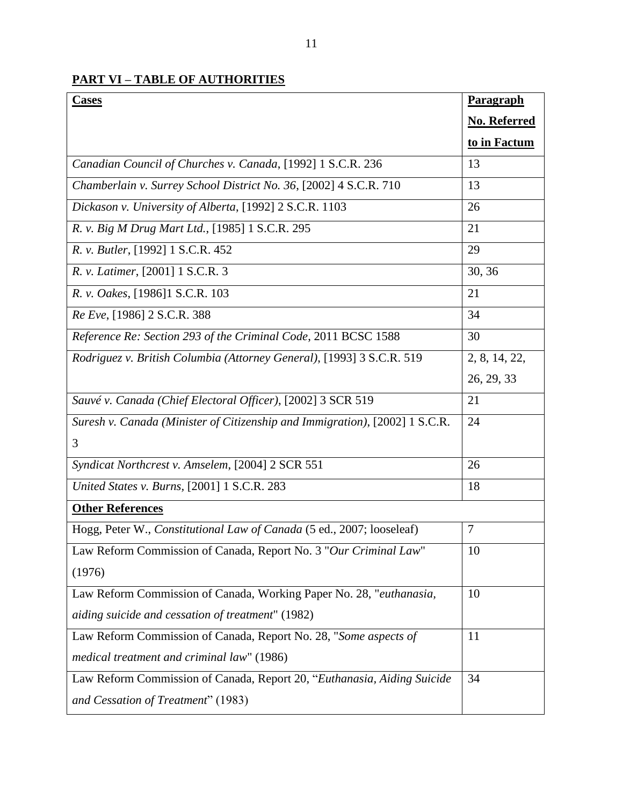# <span id="page-15-0"></span>**PART VI – TABLE OF AUTHORITIES**

| <b>Cases</b>                                                                | <b>Paragraph</b>    |
|-----------------------------------------------------------------------------|---------------------|
|                                                                             | <b>No. Referred</b> |
|                                                                             | to in Factum        |
| Canadian Council of Churches v. Canada, [1992] 1 S.C.R. 236                 | 13                  |
| Chamberlain v. Surrey School District No. 36, [2002] 4 S.C.R. 710           | 13                  |
| Dickason v. University of Alberta, [1992] 2 S.C.R. 1103                     | 26                  |
| R. v. Big M Drug Mart Ltd., [1985] 1 S.C.R. 295                             | 21                  |
| R. v. Butler, [1992] 1 S.C.R. 452                                           | 29                  |
| R. v. Latimer, [2001] 1 S.C.R. 3                                            | 30, 36              |
| R. v. Oakes, [1986]1 S.C.R. 103                                             | 21                  |
| Re Eve, [1986] 2 S.C.R. 388                                                 | 34                  |
| Reference Re: Section 293 of the Criminal Code, 2011 BCSC 1588              | 30                  |
| Rodriguez v. British Columbia (Attorney General), [1993] 3 S.C.R. 519       | 2, 8, 14, 22,       |
|                                                                             | 26, 29, 33          |
| Sauvé v. Canada (Chief Electoral Officer), [2002] 3 SCR 519                 | 21                  |
| Suresh v. Canada (Minister of Citizenship and Immigration), [2002] 1 S.C.R. | 24                  |
| 3                                                                           |                     |
| Syndicat Northcrest v. Amselem, [2004] 2 SCR 551                            | 26                  |
| United States v. Burns, [2001] 1 S.C.R. 283                                 | 18                  |
| <b>Other References</b>                                                     |                     |
| Hogg, Peter W., Constitutional Law of Canada (5 ed., 2007; looseleaf)       | $\overline{7}$      |
| Law Reform Commission of Canada, Report No. 3 "Our Criminal Law"            | 10                  |
| (1976)                                                                      |                     |
| Law Reform Commission of Canada, Working Paper No. 28, "euthanasia,         | 10                  |
| aiding suicide and cessation of treatment" (1982)                           |                     |
| Law Reform Commission of Canada, Report No. 28, "Some aspects of            | 11                  |
| medical treatment and criminal law" (1986)                                  |                     |
| Law Reform Commission of Canada, Report 20, "Euthanasia, Aiding Suicide     | 34                  |
| and Cessation of Treatment" (1983)                                          |                     |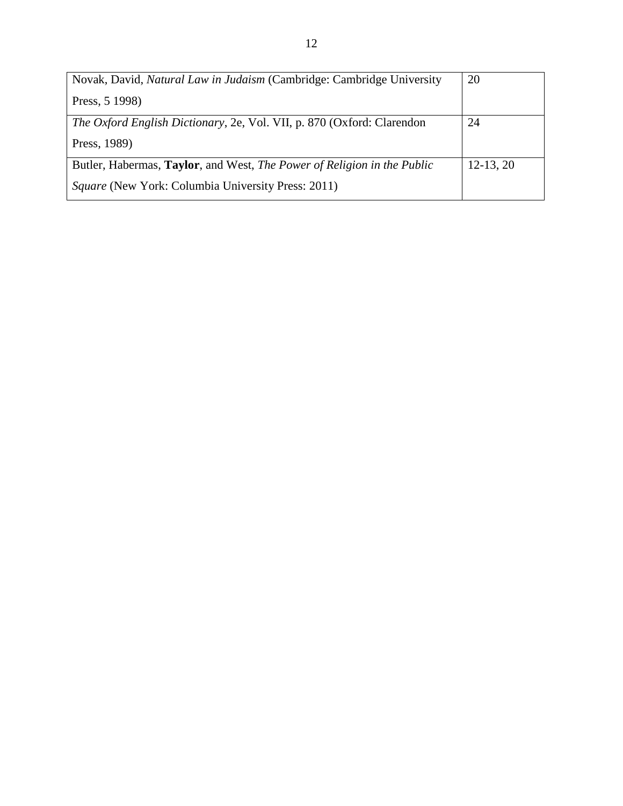| Novak, David, Natural Law in Judaism (Cambridge: Cambridge University         | 20          |
|-------------------------------------------------------------------------------|-------------|
| Press, 5 1998)                                                                |             |
| <i>The Oxford English Dictionary, 2e, Vol. VII, p. 870 (Oxford: Clarendon</i> | 24          |
| Press, 1989)                                                                  |             |
| Butler, Habermas, Taylor, and West, The Power of Religion in the Public       | $12-13, 20$ |
| <i>Square</i> (New York: Columbia University Press: 2011)                     |             |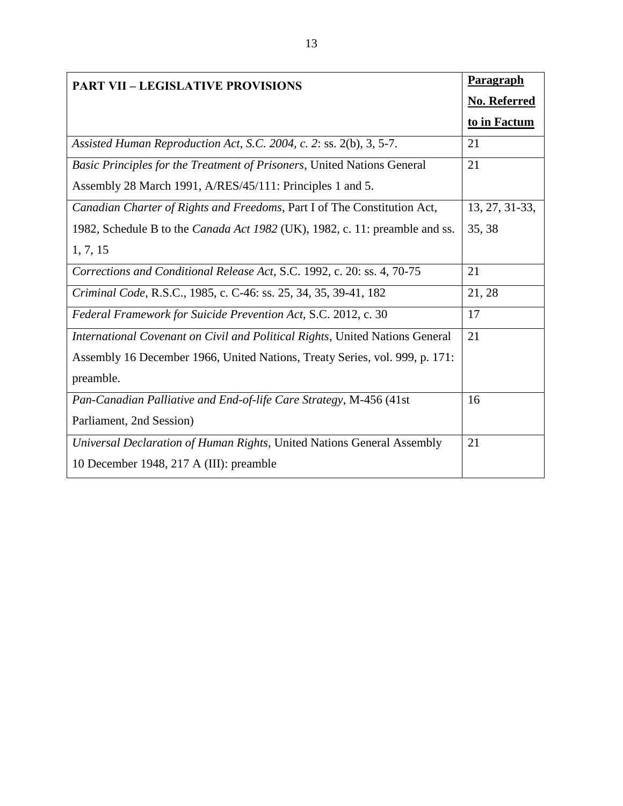<span id="page-17-0"></span>

| <b>PART VII - LEGISLATIVE PROVISIONS</b>                                     | <b>Paragraph</b>    |
|------------------------------------------------------------------------------|---------------------|
|                                                                              | <b>No. Referred</b> |
|                                                                              | to in Factum        |
| Assisted Human Reproduction Act, S.C. 2004, c. 2: ss. 2(b), 3, 5-7.          | 21                  |
| Basic Principles for the Treatment of Prisoners, United Nations General      | 21                  |
| Assembly 28 March 1991, A/RES/45/111: Principles 1 and 5.                    |                     |
| Canadian Charter of Rights and Freedoms, Part I of The Constitution Act,     | 13, 27, 31-33,      |
| 1982, Schedule B to the Canada Act 1982 (UK), 1982, c. 11: preamble and ss.  | 35, 38              |
| 1, 7, 15                                                                     |                     |
| Corrections and Conditional Release Act, S.C. 1992, c. 20: ss. 4, 70-75      | 21                  |
| Criminal Code, R.S.C., 1985, c. C-46: ss. 25, 34, 35, 39-41, 182             | 21, 28              |
| Federal Framework for Suicide Prevention Act, S.C. 2012, c. 30               | 17                  |
| International Covenant on Civil and Political Rights, United Nations General | 21                  |
| Assembly 16 December 1966, United Nations, Treaty Series, vol. 999, p. 171:  |                     |
| preamble.                                                                    |                     |
| Pan-Canadian Palliative and End-of-life Care Strategy, M-456 (41st)          | 16                  |
| Parliament, 2nd Session)                                                     |                     |
| Universal Declaration of Human Rights, United Nations General Assembly       | 21                  |
| 10 December 1948, 217 A (III): preamble                                      |                     |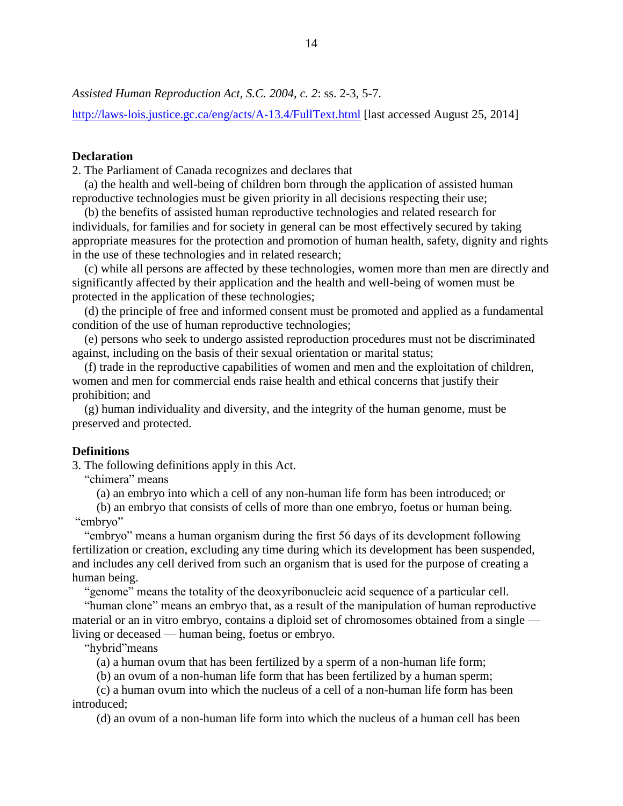*Assisted Human Reproduction Act, S.C. 2004, c. 2*: ss. 2-3, 5-7.

<http://laws-lois.justice.gc.ca/eng/acts/A-13.4/FullText.html> [last accessed August 25, 2014]

#### **Declaration**

2. The Parliament of Canada recognizes and declares that

 (a) the health and well-being of children born through the application of assisted human reproductive technologies must be given priority in all decisions respecting their use;

 (b) the benefits of assisted human reproductive technologies and related research for individuals, for families and for society in general can be most effectively secured by taking appropriate measures for the protection and promotion of human health, safety, dignity and rights in the use of these technologies and in related research;

 (c) while all persons are affected by these technologies, women more than men are directly and significantly affected by their application and the health and well-being of women must be protected in the application of these technologies;

 (d) the principle of free and informed consent must be promoted and applied as a fundamental condition of the use of human reproductive technologies;

 (e) persons who seek to undergo assisted reproduction procedures must not be discriminated against, including on the basis of their sexual orientation or marital status;

 (f) trade in the reproductive capabilities of women and men and the exploitation of children, women and men for commercial ends raise health and ethical concerns that justify their prohibition; and

 (g) human individuality and diversity, and the integrity of the human genome, must be preserved and protected.

#### **Definitions**

3. The following definitions apply in this Act.

"chimera" means

(a) an embryo into which a cell of any non-human life form has been introduced; or

 (b) an embryo that consists of cells of more than one embryo, foetus or human being. "embryo"

 "embryo" means a human organism during the first 56 days of its development following fertilization or creation, excluding any time during which its development has been suspended, and includes any cell derived from such an organism that is used for the purpose of creating a human being.

"genome" means the totality of the deoxyribonucleic acid sequence of a particular cell.

 "human clone" means an embryo that, as a result of the manipulation of human reproductive material or an in vitro embryo, contains a diploid set of chromosomes obtained from a single living or deceased — human being, foetus or embryo.

"hybrid"means

(a) a human ovum that has been fertilized by a sperm of a non-human life form;

(b) an ovum of a non-human life form that has been fertilized by a human sperm;

 (c) a human ovum into which the nucleus of a cell of a non-human life form has been introduced;

(d) an ovum of a non-human life form into which the nucleus of a human cell has been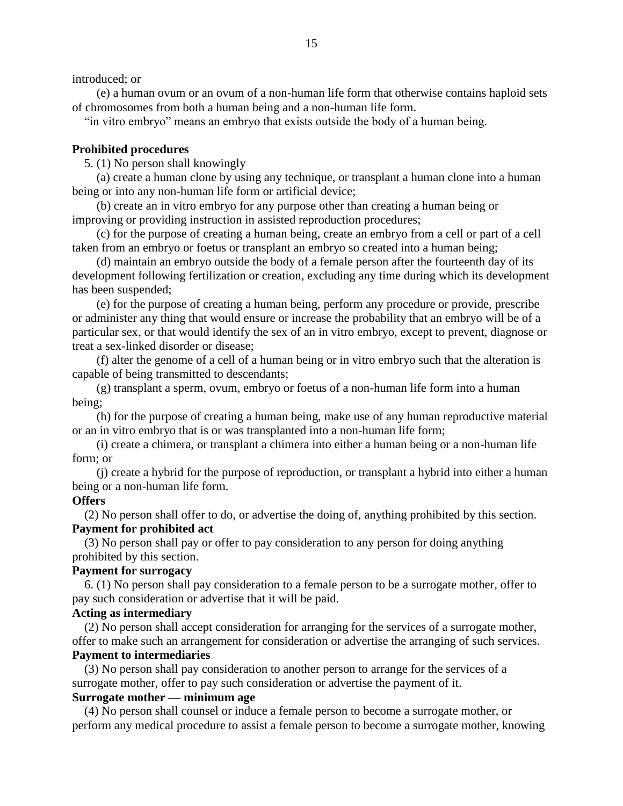introduced; or

 (e) a human ovum or an ovum of a non-human life form that otherwise contains haploid sets of chromosomes from both a human being and a non-human life form.

"in vitro embryo" means an embryo that exists outside the body of a human being.

#### **Prohibited procedures**

5. (1) No person shall knowingly

 (a) create a human clone by using any technique, or transplant a human clone into a human being or into any non-human life form or artificial device;

 (b) create an in vitro embryo for any purpose other than creating a human being or improving or providing instruction in assisted reproduction procedures;

 (c) for the purpose of creating a human being, create an embryo from a cell or part of a cell taken from an embryo or foetus or transplant an embryo so created into a human being;

 (d) maintain an embryo outside the body of a female person after the fourteenth day of its development following fertilization or creation, excluding any time during which its development has been suspended;

 (e) for the purpose of creating a human being, perform any procedure or provide, prescribe or administer any thing that would ensure or increase the probability that an embryo will be of a particular sex, or that would identify the sex of an in vitro embryo, except to prevent, diagnose or treat a sex-linked disorder or disease;

 (f) alter the genome of a cell of a human being or in vitro embryo such that the alteration is capable of being transmitted to descendants;

 (g) transplant a sperm, ovum, embryo or foetus of a non-human life form into a human being;

 (h) for the purpose of creating a human being, make use of any human reproductive material or an in vitro embryo that is or was transplanted into a non-human life form;

 (i) create a chimera, or transplant a chimera into either a human being or a non-human life form; or

 (j) create a hybrid for the purpose of reproduction, or transplant a hybrid into either a human being or a non-human life form.

#### **Offers**

 (2) No person shall offer to do, or advertise the doing of, anything prohibited by this section. **Payment for prohibited act**

 (3) No person shall pay or offer to pay consideration to any person for doing anything prohibited by this section.

## **Payment for surrogacy**

 6. (1) No person shall pay consideration to a female person to be a surrogate mother, offer to pay such consideration or advertise that it will be paid.

#### **Acting as intermediary**

 (2) No person shall accept consideration for arranging for the services of a surrogate mother, offer to make such an arrangement for consideration or advertise the arranging of such services. **Payment to intermediaries**

 (3) No person shall pay consideration to another person to arrange for the services of a surrogate mother, offer to pay such consideration or advertise the payment of it.

## **Surrogate mother — minimum age**

 (4) No person shall counsel or induce a female person to become a surrogate mother, or perform any medical procedure to assist a female person to become a surrogate mother, knowing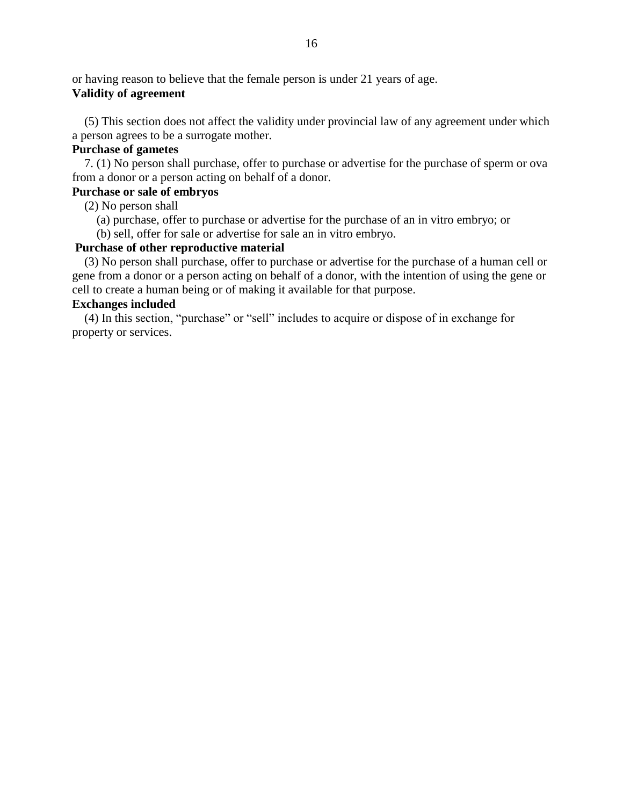or having reason to believe that the female person is under 21 years of age.

## **Validity of agreement**

 (5) This section does not affect the validity under provincial law of any agreement under which a person agrees to be a surrogate mother.

## **Purchase of gametes**

 7. (1) No person shall purchase, offer to purchase or advertise for the purchase of sperm or ova from a donor or a person acting on behalf of a donor.

## **Purchase or sale of embryos**

(2) No person shall

(a) purchase, offer to purchase or advertise for the purchase of an in vitro embryo; or

(b) sell, offer for sale or advertise for sale an in vitro embryo.

## **Purchase of other reproductive material**

 (3) No person shall purchase, offer to purchase or advertise for the purchase of a human cell or gene from a donor or a person acting on behalf of a donor, with the intention of using the gene or cell to create a human being or of making it available for that purpose.

## **Exchanges included**

 (4) In this section, "purchase" or "sell" includes to acquire or dispose of in exchange for property or services.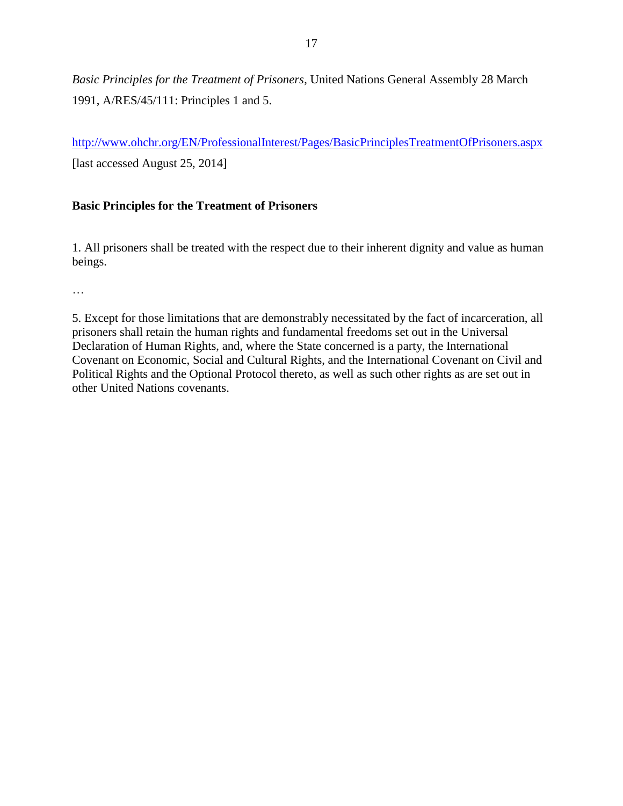*Basic Principles for the Treatment of Prisoners*, United Nations General Assembly 28 March 1991, A/RES/45/111: Principles 1 and 5.

<http://www.ohchr.org/EN/ProfessionalInterest/Pages/BasicPrinciplesTreatmentOfPrisoners.aspx>

[last accessed August 25, 2014]

## **Basic Principles for the Treatment of Prisoners**

1. All prisoners shall be treated with the respect due to their inherent dignity and value as human beings.

…

5. Except for those limitations that are demonstrably necessitated by the fact of incarceration, all prisoners shall retain the human rights and fundamental freedoms set out in the Universal Declaration of Human Rights, and, where the State concerned is a party, the International Covenant on Economic, Social and Cultural Rights, and the International Covenant on Civil and Political Rights and the Optional Protocol thereto, as well as such other rights as are set out in other United Nations covenants.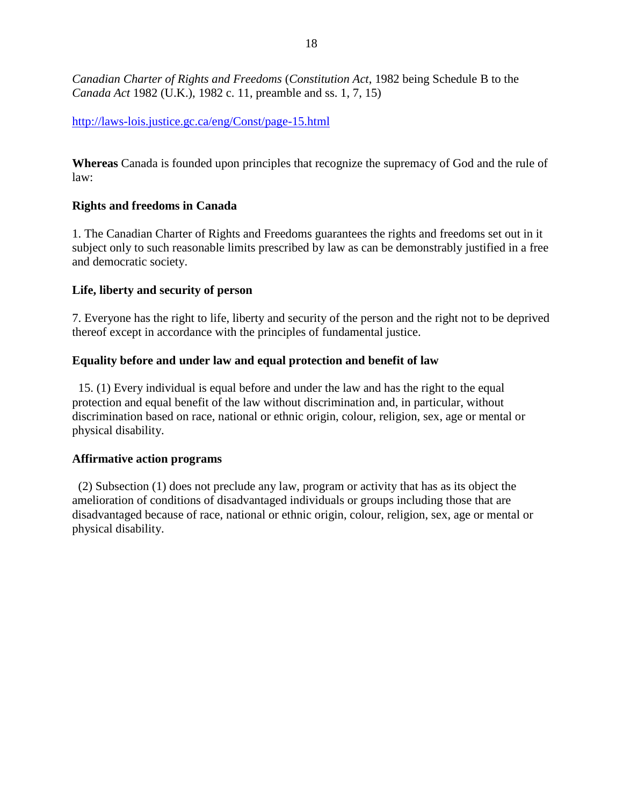*Canadian Charter of Rights and Freedoms* (*Constitution Act*, 1982 being Schedule B to the *Canada Act* 1982 (U.K.), 1982 c. 11, preamble and ss. 1, 7, 15)

## <http://laws-lois.justice.gc.ca/eng/Const/page-15.html>

**Whereas** Canada is founded upon principles that recognize the supremacy of God and the rule of law:

## **Rights and freedoms in Canada**

1. The Canadian Charter of Rights and Freedoms guarantees the rights and freedoms set out in it subject only to such reasonable limits prescribed by law as can be demonstrably justified in a free and democratic society.

## **Life, liberty and security of person**

7. Everyone has the right to life, liberty and security of the person and the right not to be deprived thereof except in accordance with the principles of fundamental justice.

## **Equality before and under law and equal protection and benefit of law**

 15. (1) Every individual is equal before and under the law and has the right to the equal protection and equal benefit of the law without discrimination and, in particular, without discrimination based on race, national or ethnic origin, colour, religion, sex, age or mental or physical disability.

## **Affirmative action programs**

 (2) Subsection (1) does not preclude any law, program or activity that has as its object the amelioration of conditions of disadvantaged individuals or groups including those that are disadvantaged because of race, national or ethnic origin, colour, religion, sex, age or mental or physical disability.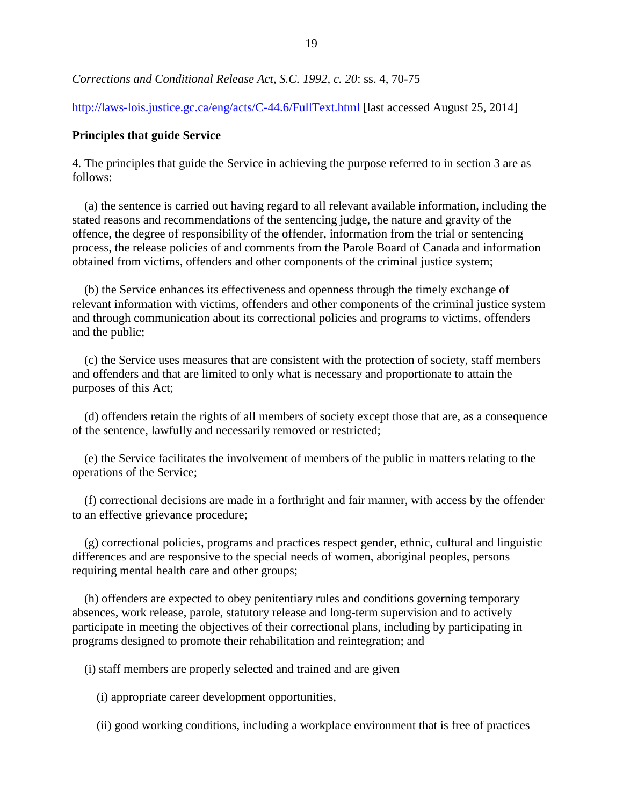*Corrections and Conditional Release Act, S.C. 1992, c. 20*: ss. 4, 70-75

<http://laws-lois.justice.gc.ca/eng/acts/C-44.6/FullText.html> [last accessed August 25, 2014]

#### **Principles that guide Service**

4. The principles that guide the Service in achieving the purpose referred to in section 3 are as follows:

 (a) the sentence is carried out having regard to all relevant available information, including the stated reasons and recommendations of the sentencing judge, the nature and gravity of the offence, the degree of responsibility of the offender, information from the trial or sentencing process, the release policies of and comments from the Parole Board of Canada and information obtained from victims, offenders and other components of the criminal justice system;

 (b) the Service enhances its effectiveness and openness through the timely exchange of relevant information with victims, offenders and other components of the criminal justice system and through communication about its correctional policies and programs to victims, offenders and the public;

 (c) the Service uses measures that are consistent with the protection of society, staff members and offenders and that are limited to only what is necessary and proportionate to attain the purposes of this Act;

 (d) offenders retain the rights of all members of society except those that are, as a consequence of the sentence, lawfully and necessarily removed or restricted;

 (e) the Service facilitates the involvement of members of the public in matters relating to the operations of the Service;

 (f) correctional decisions are made in a forthright and fair manner, with access by the offender to an effective grievance procedure;

 (g) correctional policies, programs and practices respect gender, ethnic, cultural and linguistic differences and are responsive to the special needs of women, aboriginal peoples, persons requiring mental health care and other groups;

 (h) offenders are expected to obey penitentiary rules and conditions governing temporary absences, work release, parole, statutory release and long-term supervision and to actively participate in meeting the objectives of their correctional plans, including by participating in programs designed to promote their rehabilitation and reintegration; and

(i) staff members are properly selected and trained and are given

(i) appropriate career development opportunities,

(ii) good working conditions, including a workplace environment that is free of practices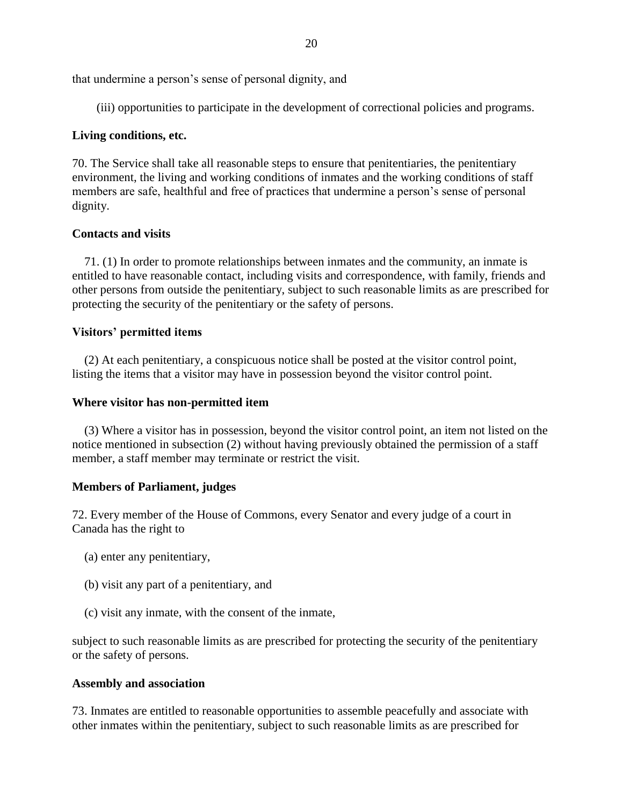that undermine a person's sense of personal dignity, and

(iii) opportunities to participate in the development of correctional policies and programs.

## **Living conditions, etc.**

70. The Service shall take all reasonable steps to ensure that penitentiaries, the penitentiary environment, the living and working conditions of inmates and the working conditions of staff members are safe, healthful and free of practices that undermine a person's sense of personal dignity.

### **Contacts and visits**

 71. (1) In order to promote relationships between inmates and the community, an inmate is entitled to have reasonable contact, including visits and correspondence, with family, friends and other persons from outside the penitentiary, subject to such reasonable limits as are prescribed for protecting the security of the penitentiary or the safety of persons.

## **Visitors' permitted items**

 (2) At each penitentiary, a conspicuous notice shall be posted at the visitor control point, listing the items that a visitor may have in possession beyond the visitor control point.

#### **Where visitor has non-permitted item**

 (3) Where a visitor has in possession, beyond the visitor control point, an item not listed on the notice mentioned in subsection (2) without having previously obtained the permission of a staff member, a staff member may terminate or restrict the visit.

## **Members of Parliament, judges**

72. Every member of the House of Commons, every Senator and every judge of a court in Canada has the right to

- (a) enter any penitentiary,
- (b) visit any part of a penitentiary, and
- (c) visit any inmate, with the consent of the inmate,

subject to such reasonable limits as are prescribed for protecting the security of the penitentiary or the safety of persons.

## **Assembly and association**

73. Inmates are entitled to reasonable opportunities to assemble peacefully and associate with other inmates within the penitentiary, subject to such reasonable limits as are prescribed for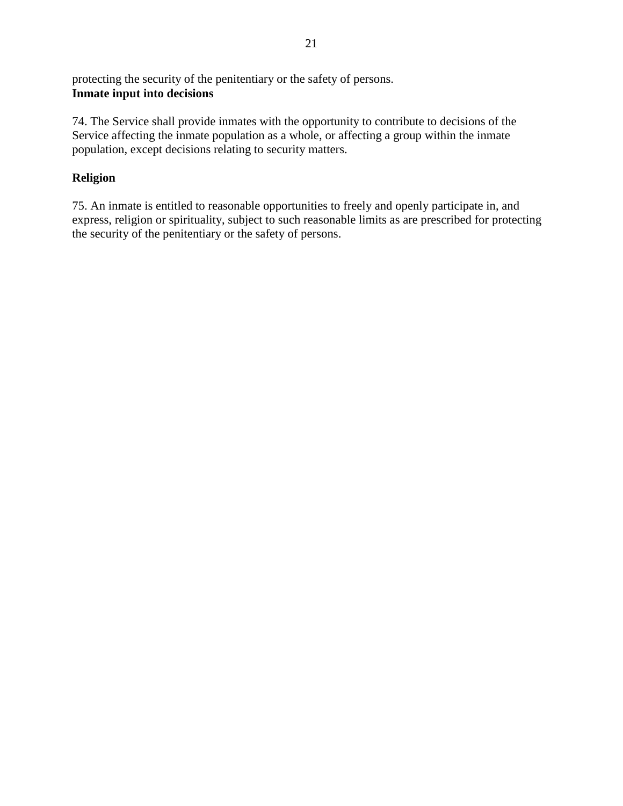protecting the security of the penitentiary or the safety of persons. **Inmate input into decisions**

74. The Service shall provide inmates with the opportunity to contribute to decisions of the Service affecting the inmate population as a whole, or affecting a group within the inmate population, except decisions relating to security matters.

# **Religion**

75. An inmate is entitled to reasonable opportunities to freely and openly participate in, and express, religion or spirituality, subject to such reasonable limits as are prescribed for protecting the security of the penitentiary or the safety of persons.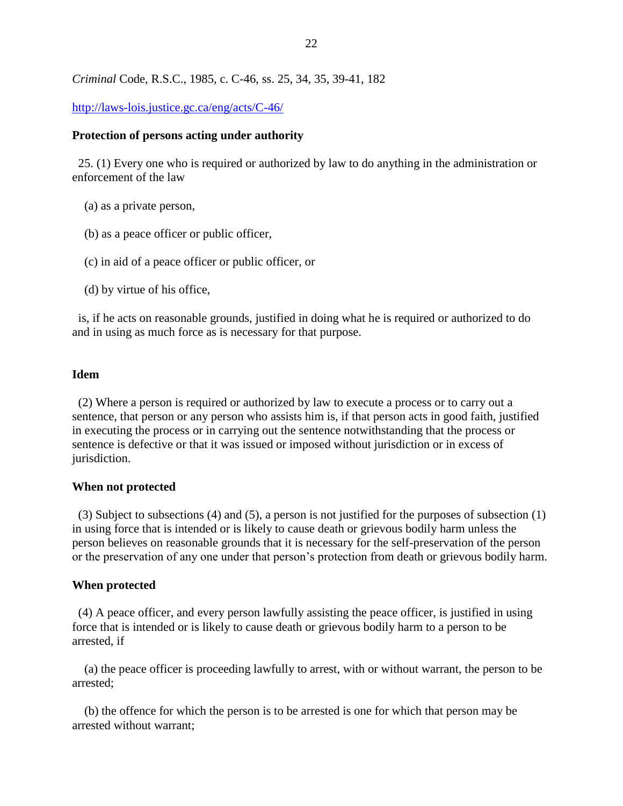*Criminal* Code, R.S.C., 1985, c. C-46, ss. 25, 34, 35, 39-41, 182

<http://laws-lois.justice.gc.ca/eng/acts/C-46/>

#### **Protection of persons acting under authority**

 25. (1) Every one who is required or authorized by law to do anything in the administration or enforcement of the law

- (a) as a private person,
- (b) as a peace officer or public officer,
- (c) in aid of a peace officer or public officer, or
- (d) by virtue of his office,

 is, if he acts on reasonable grounds, justified in doing what he is required or authorized to do and in using as much force as is necessary for that purpose.

#### **Idem**

 (2) Where a person is required or authorized by law to execute a process or to carry out a sentence, that person or any person who assists him is, if that person acts in good faith, justified in executing the process or in carrying out the sentence notwithstanding that the process or sentence is defective or that it was issued or imposed without jurisdiction or in excess of jurisdiction.

#### **When not protected**

 (3) Subject to subsections (4) and (5), a person is not justified for the purposes of subsection (1) in using force that is intended or is likely to cause death or grievous bodily harm unless the person believes on reasonable grounds that it is necessary for the self-preservation of the person or the preservation of any one under that person's protection from death or grievous bodily harm.

#### **When protected**

 (4) A peace officer, and every person lawfully assisting the peace officer, is justified in using force that is intended or is likely to cause death or grievous bodily harm to a person to be arrested, if

 (a) the peace officer is proceeding lawfully to arrest, with or without warrant, the person to be arrested;

 (b) the offence for which the person is to be arrested is one for which that person may be arrested without warrant;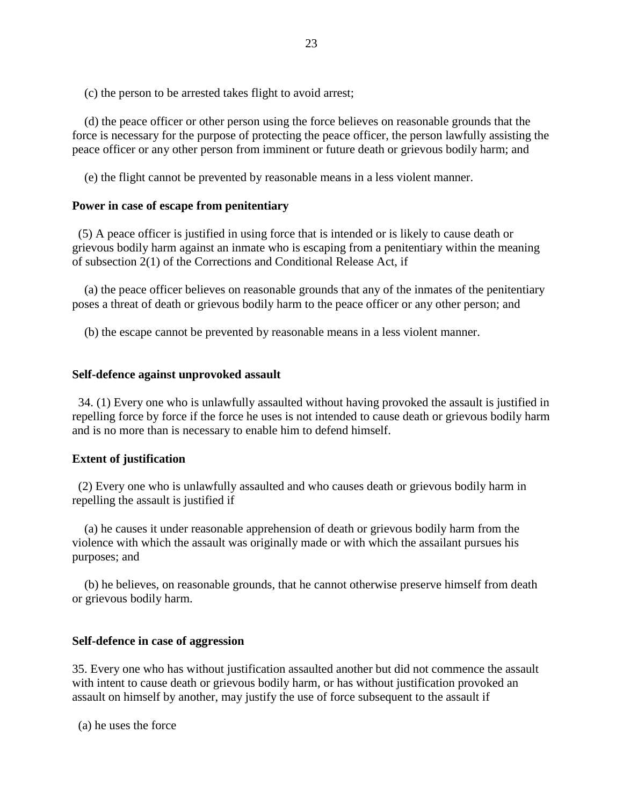(c) the person to be arrested takes flight to avoid arrest;

 (d) the peace officer or other person using the force believes on reasonable grounds that the force is necessary for the purpose of protecting the peace officer, the person lawfully assisting the peace officer or any other person from imminent or future death or grievous bodily harm; and

(e) the flight cannot be prevented by reasonable means in a less violent manner.

### **Power in case of escape from penitentiary**

 (5) A peace officer is justified in using force that is intended or is likely to cause death or grievous bodily harm against an inmate who is escaping from a penitentiary within the meaning of subsection 2(1) of the Corrections and Conditional Release Act, if

 (a) the peace officer believes on reasonable grounds that any of the inmates of the penitentiary poses a threat of death or grievous bodily harm to the peace officer or any other person; and

(b) the escape cannot be prevented by reasonable means in a less violent manner.

### **Self-defence against unprovoked assault**

 34. (1) Every one who is unlawfully assaulted without having provoked the assault is justified in repelling force by force if the force he uses is not intended to cause death or grievous bodily harm and is no more than is necessary to enable him to defend himself.

## **Extent of justification**

 (2) Every one who is unlawfully assaulted and who causes death or grievous bodily harm in repelling the assault is justified if

 (a) he causes it under reasonable apprehension of death or grievous bodily harm from the violence with which the assault was originally made or with which the assailant pursues his purposes; and

 (b) he believes, on reasonable grounds, that he cannot otherwise preserve himself from death or grievous bodily harm.

#### **Self-defence in case of aggression**

35. Every one who has without justification assaulted another but did not commence the assault with intent to cause death or grievous bodily harm, or has without justification provoked an assault on himself by another, may justify the use of force subsequent to the assault if

(a) he uses the force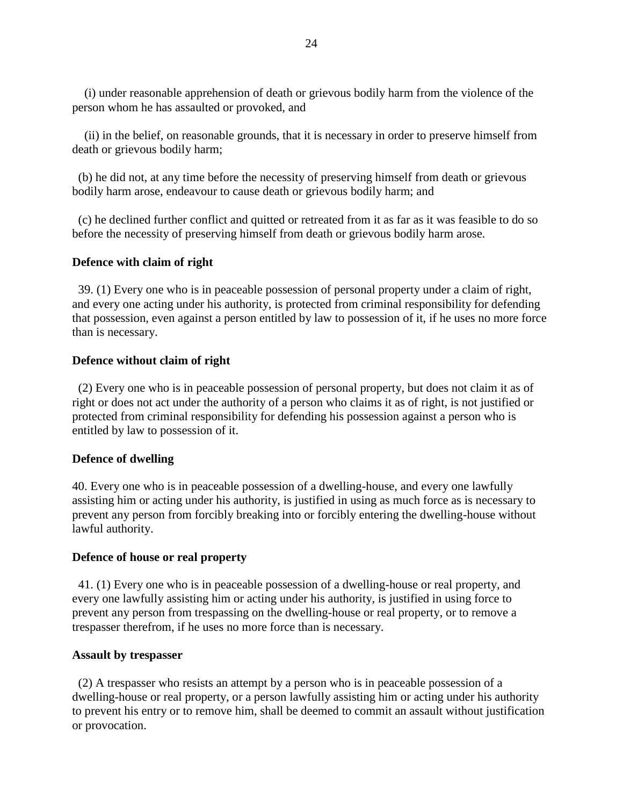(i) under reasonable apprehension of death or grievous bodily harm from the violence of the person whom he has assaulted or provoked, and

 (ii) in the belief, on reasonable grounds, that it is necessary in order to preserve himself from death or grievous bodily harm;

 (b) he did not, at any time before the necessity of preserving himself from death or grievous bodily harm arose, endeavour to cause death or grievous bodily harm; and

 (c) he declined further conflict and quitted or retreated from it as far as it was feasible to do so before the necessity of preserving himself from death or grievous bodily harm arose.

### **Defence with claim of right**

 39. (1) Every one who is in peaceable possession of personal property under a claim of right, and every one acting under his authority, is protected from criminal responsibility for defending that possession, even against a person entitled by law to possession of it, if he uses no more force than is necessary.

### **Defence without claim of right**

 (2) Every one who is in peaceable possession of personal property, but does not claim it as of right or does not act under the authority of a person who claims it as of right, is not justified or protected from criminal responsibility for defending his possession against a person who is entitled by law to possession of it.

## **Defence of dwelling**

40. Every one who is in peaceable possession of a dwelling-house, and every one lawfully assisting him or acting under his authority, is justified in using as much force as is necessary to prevent any person from forcibly breaking into or forcibly entering the dwelling-house without lawful authority.

#### **Defence of house or real property**

 41. (1) Every one who is in peaceable possession of a dwelling-house or real property, and every one lawfully assisting him or acting under his authority, is justified in using force to prevent any person from trespassing on the dwelling-house or real property, or to remove a trespasser therefrom, if he uses no more force than is necessary.

#### **Assault by trespasser**

 (2) A trespasser who resists an attempt by a person who is in peaceable possession of a dwelling-house or real property, or a person lawfully assisting him or acting under his authority to prevent his entry or to remove him, shall be deemed to commit an assault without justification or provocation.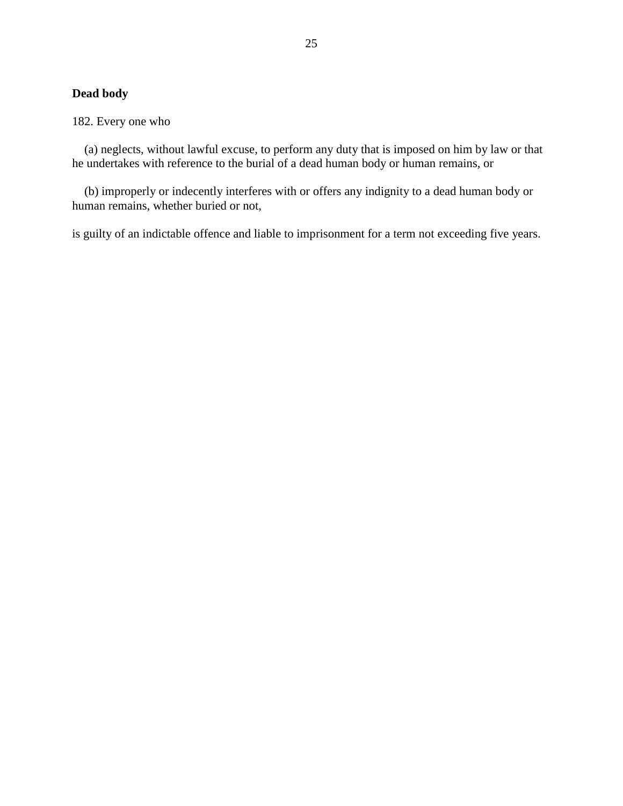## **Dead body**

#### 182. Every one who

 (a) neglects, without lawful excuse, to perform any duty that is imposed on him by law or that he undertakes with reference to the burial of a dead human body or human remains, or

 (b) improperly or indecently interferes with or offers any indignity to a dead human body or human remains, whether buried or not,

is guilty of an indictable offence and liable to imprisonment for a term not exceeding five years.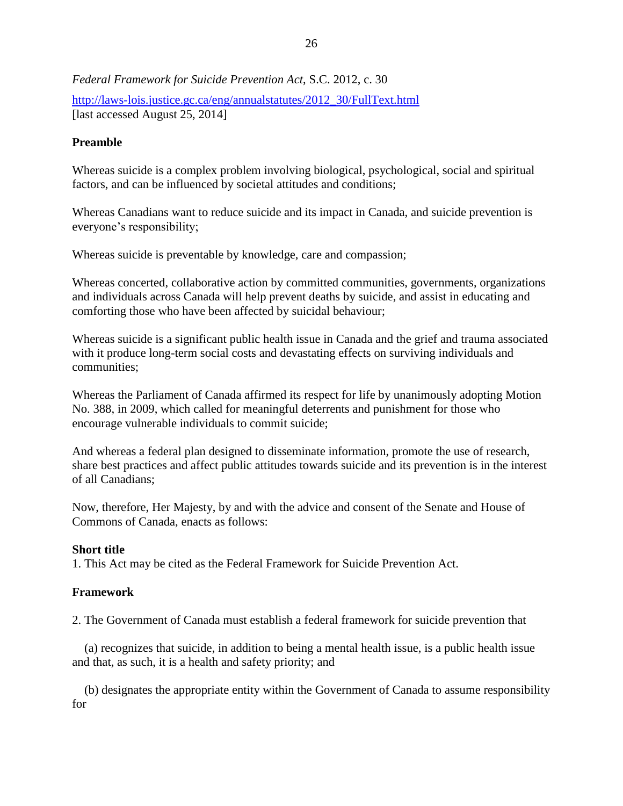*Federal Framework for Suicide Prevention Act*, S.C. 2012, c. 30

[http://laws-lois.justice.gc.ca/eng/annualstatutes/2012\\_30/FullText.html](http://laws-lois.justice.gc.ca/eng/annualstatutes/2012_30/FullText.html) [last accessed August 25, 2014]

## **Preamble**

Whereas suicide is a complex problem involving biological, psychological, social and spiritual factors, and can be influenced by societal attitudes and conditions;

Whereas Canadians want to reduce suicide and its impact in Canada, and suicide prevention is everyone's responsibility;

Whereas suicide is preventable by knowledge, care and compassion;

Whereas concerted, collaborative action by committed communities, governments, organizations and individuals across Canada will help prevent deaths by suicide, and assist in educating and comforting those who have been affected by suicidal behaviour;

Whereas suicide is a significant public health issue in Canada and the grief and trauma associated with it produce long-term social costs and devastating effects on surviving individuals and communities;

Whereas the Parliament of Canada affirmed its respect for life by unanimously adopting Motion No. 388, in 2009, which called for meaningful deterrents and punishment for those who encourage vulnerable individuals to commit suicide;

And whereas a federal plan designed to disseminate information, promote the use of research, share best practices and affect public attitudes towards suicide and its prevention is in the interest of all Canadians;

Now, therefore, Her Majesty, by and with the advice and consent of the Senate and House of Commons of Canada, enacts as follows:

## **Short title**

1. This Act may be cited as the Federal Framework for Suicide Prevention Act.

## **Framework**

2. The Government of Canada must establish a federal framework for suicide prevention that

 (a) recognizes that suicide, in addition to being a mental health issue, is a public health issue and that, as such, it is a health and safety priority; and

 (b) designates the appropriate entity within the Government of Canada to assume responsibility for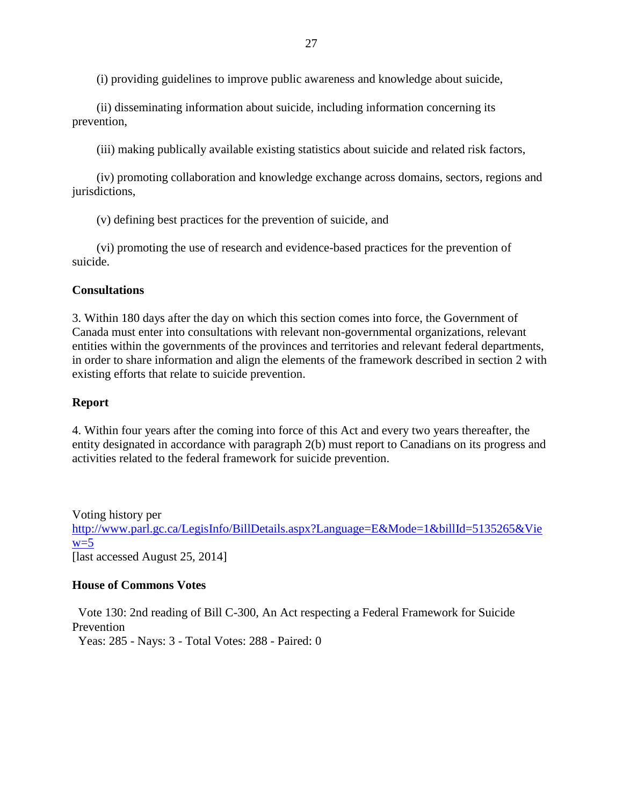(i) providing guidelines to improve public awareness and knowledge about suicide,

 (ii) disseminating information about suicide, including information concerning its prevention,

(iii) making publically available existing statistics about suicide and related risk factors,

 (iv) promoting collaboration and knowledge exchange across domains, sectors, regions and jurisdictions,

(v) defining best practices for the prevention of suicide, and

 (vi) promoting the use of research and evidence-based practices for the prevention of suicide.

## **Consultations**

3. Within 180 days after the day on which this section comes into force, the Government of Canada must enter into consultations with relevant non-governmental organizations, relevant entities within the governments of the provinces and territories and relevant federal departments, in order to share information and align the elements of the framework described in section 2 with existing efforts that relate to suicide prevention.

## **Report**

4. Within four years after the coming into force of this Act and every two years thereafter, the entity designated in accordance with paragraph 2(b) must report to Canadians on its progress and activities related to the federal framework for suicide prevention.

Voting history per [http://www.parl.gc.ca/LegisInfo/BillDetails.aspx?Language=E&Mode=1&billId=5135265&Vie](http://www.parl.gc.ca/LegisInfo/BillDetails.aspx?Language=E&Mode=1&billId=5135265&View=5)  $w=5$ [last accessed August 25, 2014]

## **House of Commons Votes**

 Vote 130: 2nd reading of Bill C-300, An Act respecting a Federal Framework for Suicide Prevention Yeas: 285 - Nays: 3 - Total Votes: 288 - Paired: 0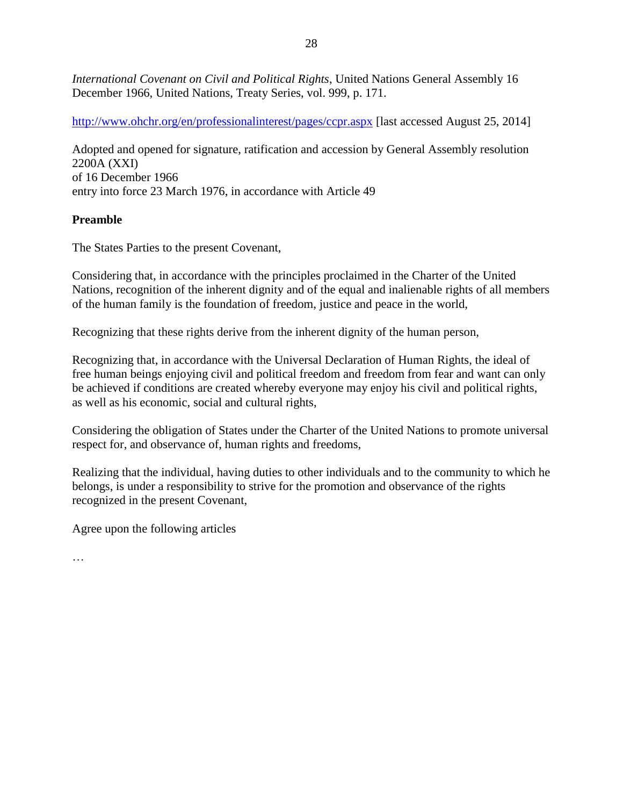*International Covenant on Civil and Political Rights*, United Nations General Assembly 16 December 1966, United Nations, Treaty Series, vol. 999, p. 171.

<http://www.ohchr.org/en/professionalinterest/pages/ccpr.aspx> [last accessed August 25, 2014]

Adopted and opened for signature, ratification and accession by General Assembly resolution 2200A (XXI) of 16 December 1966 entry into force 23 March 1976, in accordance with Article 49

## **Preamble**

The States Parties to the present Covenant,

Considering that, in accordance with the principles proclaimed in the Charter of the United Nations, recognition of the inherent dignity and of the equal and inalienable rights of all members of the human family is the foundation of freedom, justice and peace in the world,

Recognizing that these rights derive from the inherent dignity of the human person,

Recognizing that, in accordance with the Universal Declaration of Human Rights, the ideal of free human beings enjoying civil and political freedom and freedom from fear and want can only be achieved if conditions are created whereby everyone may enjoy his civil and political rights, as well as his economic, social and cultural rights,

Considering the obligation of States under the Charter of the United Nations to promote universal respect for, and observance of, human rights and freedoms,

Realizing that the individual, having duties to other individuals and to the community to which he belongs, is under a responsibility to strive for the promotion and observance of the rights recognized in the present Covenant,

Agree upon the following articles

…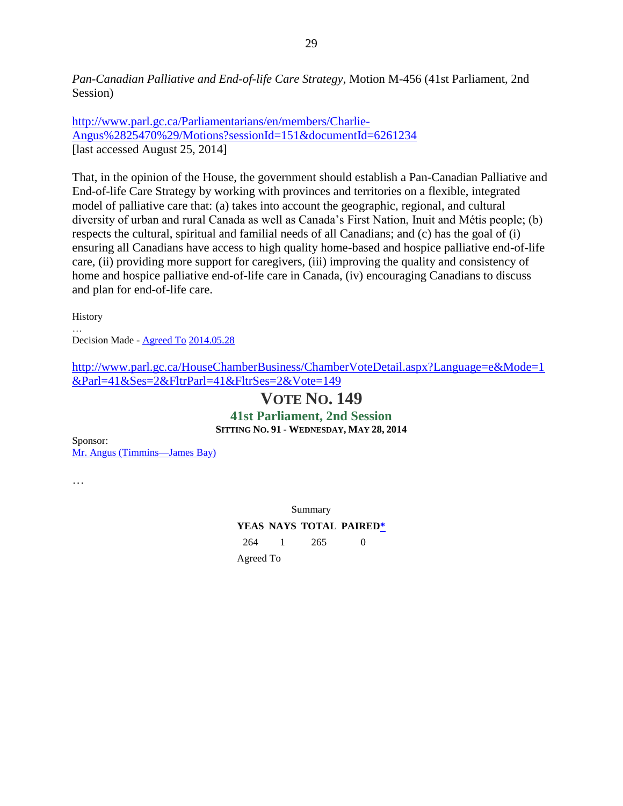*Pan-Canadian Palliative and End-of-life Care Strategy,* Motion M-456 (41st Parliament, 2nd Session)

[http://www.parl.gc.ca/Parliamentarians/en/members/Charlie-](http://www.parl.gc.ca/Parliamentarians/en/members/Charlie-Angus%2825470%29/Motions?sessionId=151&documentId=6261234)[Angus%2825470%29/Motions?sessionId=151&documentId=6261234](http://www.parl.gc.ca/Parliamentarians/en/members/Charlie-Angus%2825470%29/Motions?sessionId=151&documentId=6261234) [last accessed August 25, 2014]

That, in the opinion of the House, the government should establish a Pan-Canadian Palliative and End-of-life Care Strategy by working with provinces and territories on a flexible, integrated model of palliative care that: (a) takes into account the geographic, regional, and cultural diversity of urban and rural Canada as well as Canada's First Nation, Inuit and Métis people; (b) respects the cultural, spiritual and familial needs of all Canadians; and (c) has the goal of (i) ensuring all Canadians have access to high quality home-based and hospice palliative end-of-life care, (ii) providing more support for caregivers, (iii) improving the quality and consistency of home and hospice palliative end-of-life care in Canada, (iv) encouraging Canadians to discuss and plan for end-of-life care.

**History** 

… Decision Made - [Agreed To](http://www.parl.gc.ca/HouseChamberBusiness/ChamberVoteDetail.aspx?Language=e&Mode=1&Parl=41&Ses=2&FltrParl=41&FltrSes=2&Vote=149) [2014.05.28](http://www.parl.gc.ca/HousePublications/Publication.aspx?Language=e&Mode=1&Parl=41&Ses=2&DocId=6619847)

[http://www.parl.gc.ca/HouseChamberBusiness/ChamberVoteDetail.aspx?Language=e&Mode=1](http://www.parl.gc.ca/HouseChamberBusiness/ChamberVoteDetail.aspx?Language=e&Mode=1&Parl=41&Ses=2&FltrParl=41&FltrSes=2&Vote=149) [&Parl=41&Ses=2&FltrParl=41&FltrSes=2&Vote=149](http://www.parl.gc.ca/HouseChamberBusiness/ChamberVoteDetail.aspx?Language=e&Mode=1&Parl=41&Ses=2&FltrParl=41&FltrSes=2&Vote=149)

# **VOTE NO. 149**

**41st Parliament, 2nd Session SITTING NO. 91 - WEDNESDAY, MAY 28, 2014**

Sponsor: [Mr. Angus \(Timmins—James Bay\)](http://www.parl.gc.ca/HousePublications/GetWebOptionsCallBack.aspx?SourceSystem=PRISM&ResourceType=Affiliation&ResourceID=170184&language=1&DisplayMode=2)

…

Summary **YEAS NAYS TOTAL PAIRE[D\\*](http://www.parl.gc.ca/HouseChamberBusiness/ChamberVoteDetail.aspx?Language=e&Mode=1&Parl=41&Ses=2&FltrParl=41&FltrSes=2&Vote=149#paired)** 264 1 265 0 Agreed To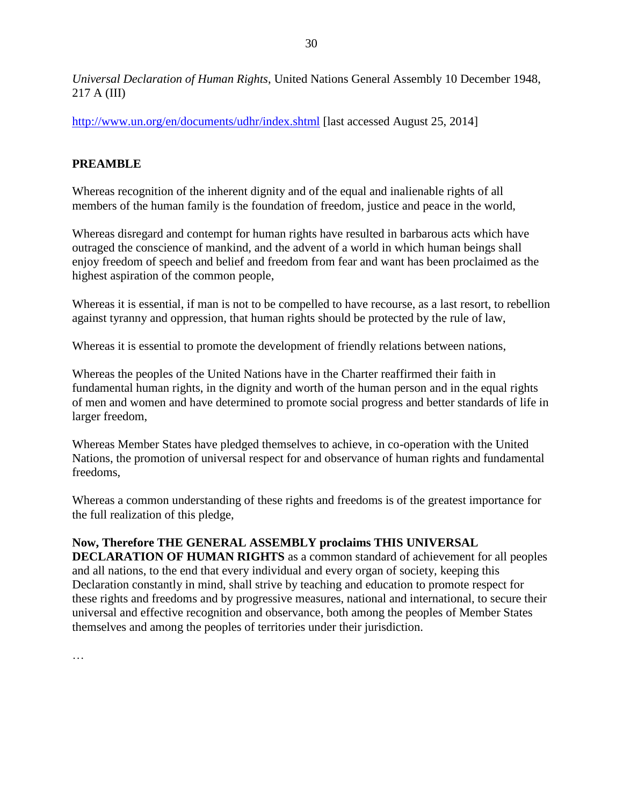*Universal Declaration of Human Rights*, United Nations General Assembly 10 December 1948, 217 A (III)

<http://www.un.org/en/documents/udhr/index.shtml> [last accessed August 25, 2014]

## **PREAMBLE**

…

Whereas recognition of the inherent dignity and of the equal and inalienable rights of all members of the human family is the foundation of freedom, justice and peace in the world,

Whereas disregard and contempt for human rights have resulted in barbarous acts which have outraged the conscience of mankind, and the advent of a world in which human beings shall enjoy freedom of speech and belief and freedom from fear and want has been proclaimed as the highest aspiration of the common people,

Whereas it is essential, if man is not to be compelled to have recourse, as a last resort, to rebellion against tyranny and oppression, that human rights should be protected by the rule of law,

Whereas it is essential to promote the development of friendly relations between nations,

Whereas the peoples of the United Nations have in the Charter reaffirmed their faith in fundamental human rights, in the dignity and worth of the human person and in the equal rights of men and women and have determined to promote social progress and better standards of life in larger freedom,

Whereas Member States have pledged themselves to achieve, in co-operation with the United Nations, the promotion of universal respect for and observance of human rights and fundamental freedoms,

Whereas a common understanding of these rights and freedoms is of the greatest importance for the full realization of this pledge,

## **Now, Therefore THE GENERAL ASSEMBLY proclaims THIS UNIVERSAL**

**DECLARATION OF HUMAN RIGHTS** as a common standard of achievement for all peoples and all nations, to the end that every individual and every organ of society, keeping this Declaration constantly in mind, shall strive by teaching and education to promote respect for these rights and freedoms and by progressive measures, national and international, to secure their universal and effective recognition and observance, both among the peoples of Member States themselves and among the peoples of territories under their jurisdiction.